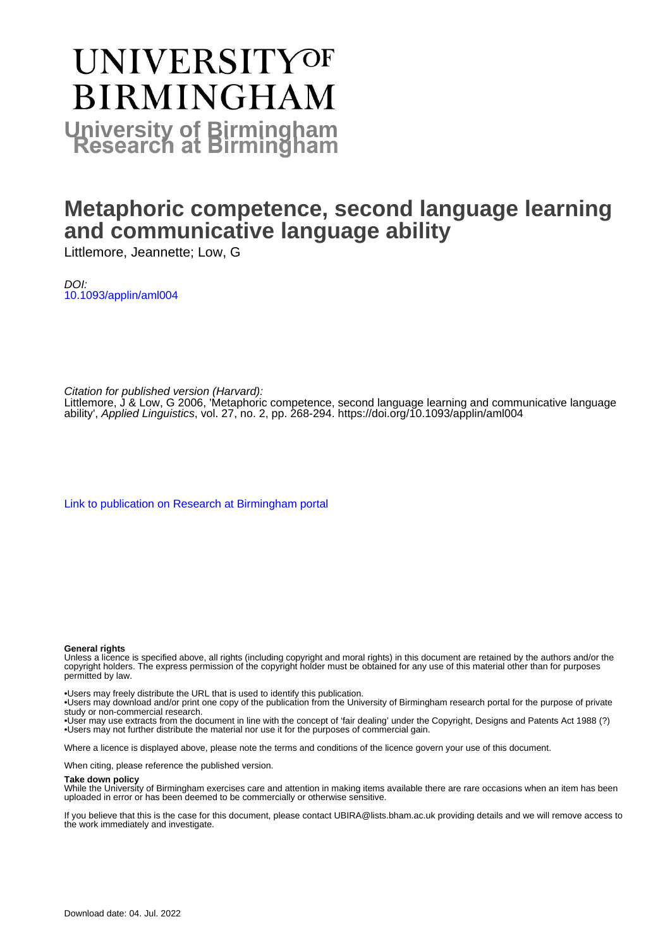# **UNIVERSITYOF BIRMINGHAM University of Birmingham**

# **Metaphoric competence, second language learning and communicative language ability**

Littlemore, Jeannette; Low, G

DOI: [10.1093/applin/aml004](https://doi.org/10.1093/applin/aml004)

Citation for published version (Harvard):

Littlemore, J & Low, G 2006, 'Metaphoric competence, second language learning and communicative language ability', Applied Linguistics, vol. 27, no. 2, pp. 268-294.<https://doi.org/10.1093/applin/aml004>

[Link to publication on Research at Birmingham portal](https://birmingham.elsevierpure.com/en/publications/7b5eb51c-4f23-4e87-bc6d-a5a2aa2dc6b7)

#### **General rights**

Unless a licence is specified above, all rights (including copyright and moral rights) in this document are retained by the authors and/or the copyright holders. The express permission of the copyright holder must be obtained for any use of this material other than for purposes permitted by law.

• Users may freely distribute the URL that is used to identify this publication.

• Users may download and/or print one copy of the publication from the University of Birmingham research portal for the purpose of private study or non-commercial research.

• User may use extracts from the document in line with the concept of 'fair dealing' under the Copyright, Designs and Patents Act 1988 (?) • Users may not further distribute the material nor use it for the purposes of commercial gain.

Where a licence is displayed above, please note the terms and conditions of the licence govern your use of this document.

When citing, please reference the published version.

#### **Take down policy**

While the University of Birmingham exercises care and attention in making items available there are rare occasions when an item has been uploaded in error or has been deemed to be commercially or otherwise sensitive.

If you believe that this is the case for this document, please contact UBIRA@lists.bham.ac.uk providing details and we will remove access to the work immediately and investigate.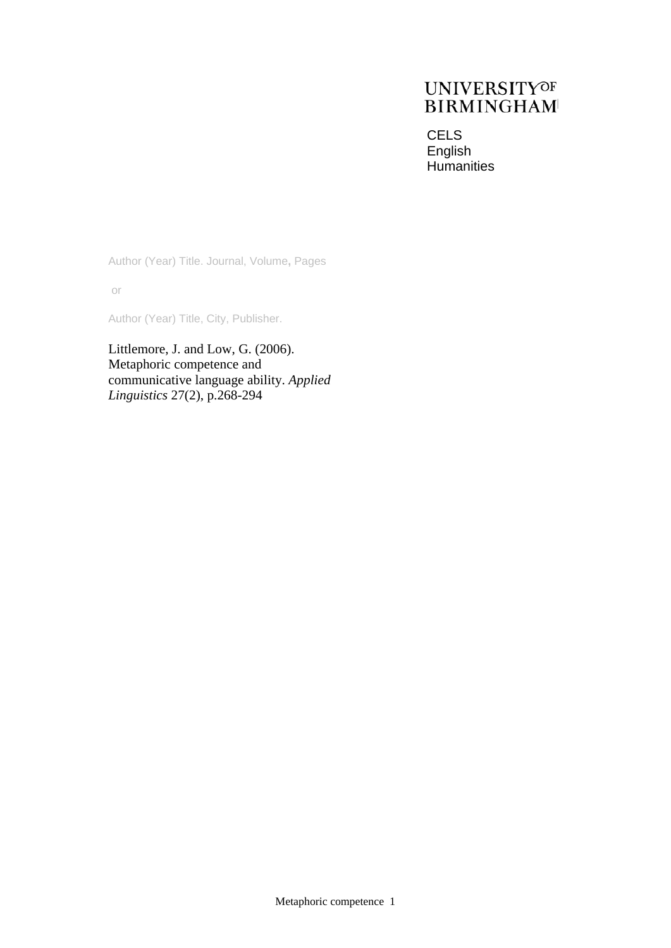## **UNIVERSITYOF BIRMINGHAM**

**CELS** English **Humanities** 

Author (Year) Title. Journal, Volume**,** Pages

or

Author (Year) Title, City, Publisher.

Littlemore, J. and Low, G. (2006). Metaphoric competence and communicative language ability. *Applied Linguistics* 27(2), p.268-294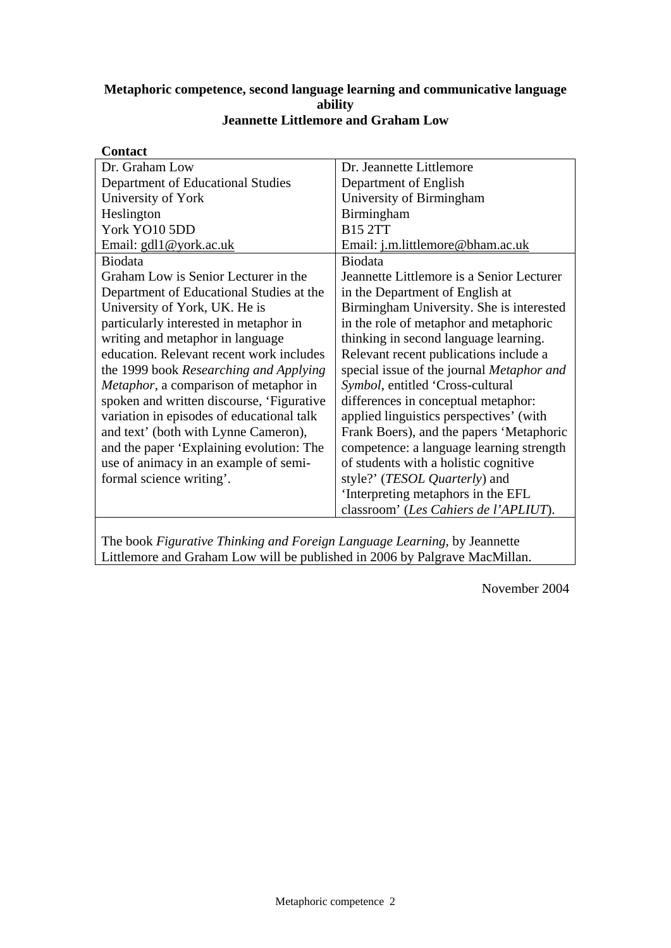#### **Metaphoric competence, second language learning and communicative language ability Jeannette Littlemore and Graham Low**

| <b>Contact</b>                            |                                           |
|-------------------------------------------|-------------------------------------------|
| Dr. Graham Low                            | Dr. Jeannette Littlemore                  |
| Department of Educational Studies         | Department of English                     |
| University of York                        | University of Birmingham                  |
| Heslington                                | Birmingham                                |
| York YO10 5DD                             | <b>B15 2TT</b>                            |
| Email: gdl1@york.ac.uk                    | Email: j.m.littlemore@bham.ac.uk          |
| <b>Biodata</b>                            | <b>Biodata</b>                            |
| Graham Low is Senior Lecturer in the      | Jeannette Littlemore is a Senior Lecturer |
| Department of Educational Studies at the  | in the Department of English at           |
| University of York, UK. He is             | Birmingham University. She is interested  |
| particularly interested in metaphor in    | in the role of metaphor and metaphoric    |
| writing and metaphor in language          | thinking in second language learning.     |
| education. Relevant recent work includes  | Relevant recent publications include a    |
| the 1999 book Researching and Applying    | special issue of the journal Metaphor and |
| Metaphor, a comparison of metaphor in     | Symbol, entitled 'Cross-cultural          |
| spoken and written discourse, 'Figurative | differences in conceptual metaphor:       |
| variation in episodes of educational talk | applied linguistics perspectives' (with   |
| and text' (both with Lynne Cameron),      | Frank Boers), and the papers 'Metaphoric  |
| and the paper 'Explaining evolution: The  | competence: a language learning strength  |
| use of animacy in an example of semi-     | of students with a holistic cognitive     |
| formal science writing'.                  | style?' (TESOL Quarterly) and             |
|                                           | 'Interpreting metaphors in the EFL        |
|                                           | classroom' (Les Cahiers de l'APLIUT).     |

The book *Figurative Thinking and Foreign Language Learning*, by Jeannette Littlemore and Graham Low will be published in 2006 by Palgrave MacMillan.

November 2004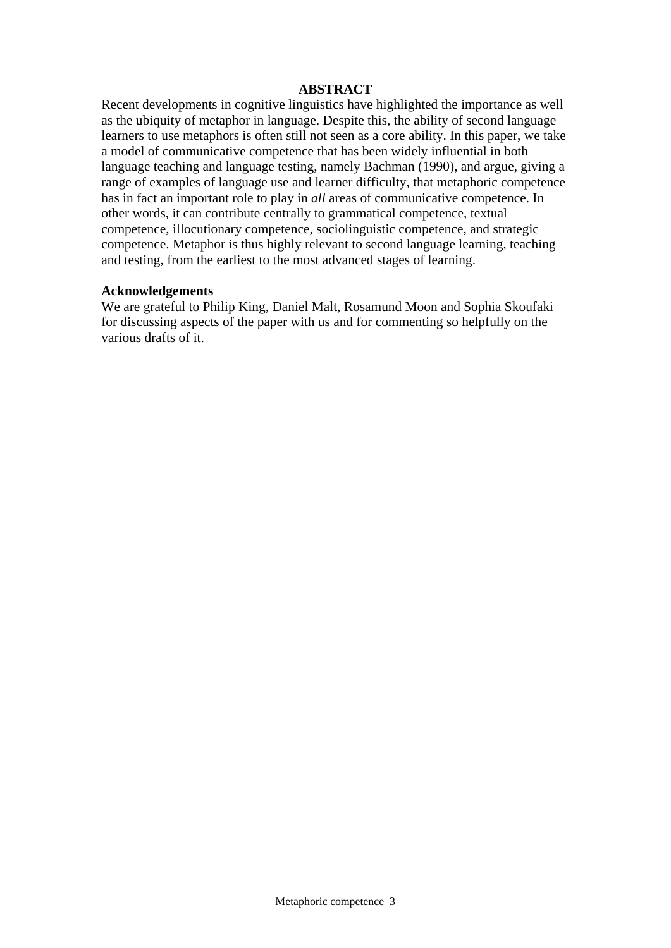#### **ABSTRACT**

Recent developments in cognitive linguistics have highlighted the importance as well as the ubiquity of metaphor in language. Despite this, the ability of second language learners to use metaphors is often still not seen as a core ability. In this paper, we take a model of communicative competence that has been widely influential in both language teaching and language testing, namely Bachman (1990), and argue, giving a range of examples of language use and learner difficulty, that metaphoric competence has in fact an important role to play in *all* areas of communicative competence. In other words, it can contribute centrally to grammatical competence, textual competence, illocutionary competence, sociolinguistic competence, and strategic competence. Metaphor is thus highly relevant to second language learning, teaching and testing, from the earliest to the most advanced stages of learning.

#### **Acknowledgements**

We are grateful to Philip King, Daniel Malt, Rosamund Moon and Sophia Skoufaki for discussing aspects of the paper with us and for commenting so helpfully on the various drafts of it.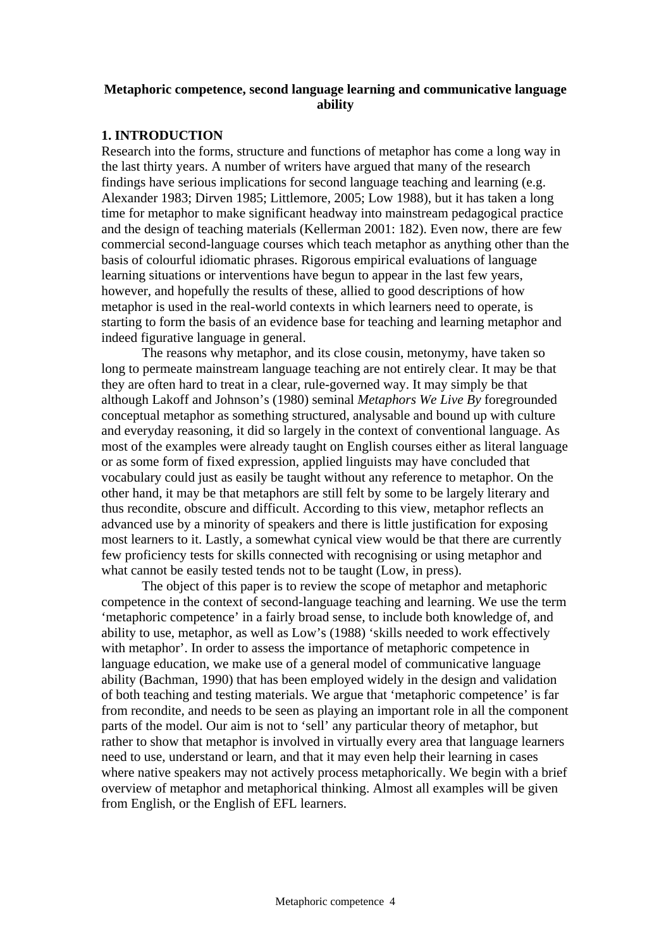#### **Metaphoric competence, second language learning and communicative language ability**

#### **1. INTRODUCTION**

Research into the forms, structure and functions of metaphor has come a long way in the last thirty years. A number of writers have argued that many of the research findings have serious implications for second language teaching and learning (e.g. Alexander 1983; Dirven 1985; Littlemore, 2005; Low 1988), but it has taken a long time for metaphor to make significant headway into mainstream pedagogical practice and the design of teaching materials (Kellerman 2001: 182). Even now, there are few commercial second-language courses which teach metaphor as anything other than the basis of colourful idiomatic phrases. Rigorous empirical evaluations of language learning situations or interventions have begun to appear in the last few years, however, and hopefully the results of these, allied to good descriptions of how metaphor is used in the real-world contexts in which learners need to operate, is starting to form the basis of an evidence base for teaching and learning metaphor and indeed figurative language in general.

 The reasons why metaphor, and its close cousin, metonymy, have taken so long to permeate mainstream language teaching are not entirely clear. It may be that they are often hard to treat in a clear, rule-governed way. It may simply be that although Lakoff and Johnson's (1980) seminal *Metaphors We Live By* foregrounded conceptual metaphor as something structured, analysable and bound up with culture and everyday reasoning, it did so largely in the context of conventional language. As most of the examples were already taught on English courses either as literal language or as some form of fixed expression, applied linguists may have concluded that vocabulary could just as easily be taught without any reference to metaphor. On the other hand, it may be that metaphors are still felt by some to be largely literary and thus recondite, obscure and difficult. According to this view, metaphor reflects an advanced use by a minority of speakers and there is little justification for exposing most learners to it. Lastly, a somewhat cynical view would be that there are currently few proficiency tests for skills connected with recognising or using metaphor and what cannot be easily tested tends not to be taught (Low, in press).

The object of this paper is to review the scope of metaphor and metaphoric competence in the context of second-language teaching and learning. We use the term 'metaphoric competence' in a fairly broad sense, to include both knowledge of, and ability to use, metaphor, as well as Low's (1988) 'skills needed to work effectively with metaphor'. In order to assess the importance of metaphoric competence in language education, we make use of a general model of communicative language ability (Bachman, 1990) that has been employed widely in the design and validation of both teaching and testing materials. We argue that 'metaphoric competence' is far from recondite, and needs to be seen as playing an important role in all the component parts of the model. Our aim is not to 'sell' any particular theory of metaphor, but rather to show that metaphor is involved in virtually every area that language learners need to use, understand or learn, and that it may even help their learning in cases where native speakers may not actively process metaphorically. We begin with a brief overview of metaphor and metaphorical thinking. Almost all examples will be given from English, or the English of EFL learners.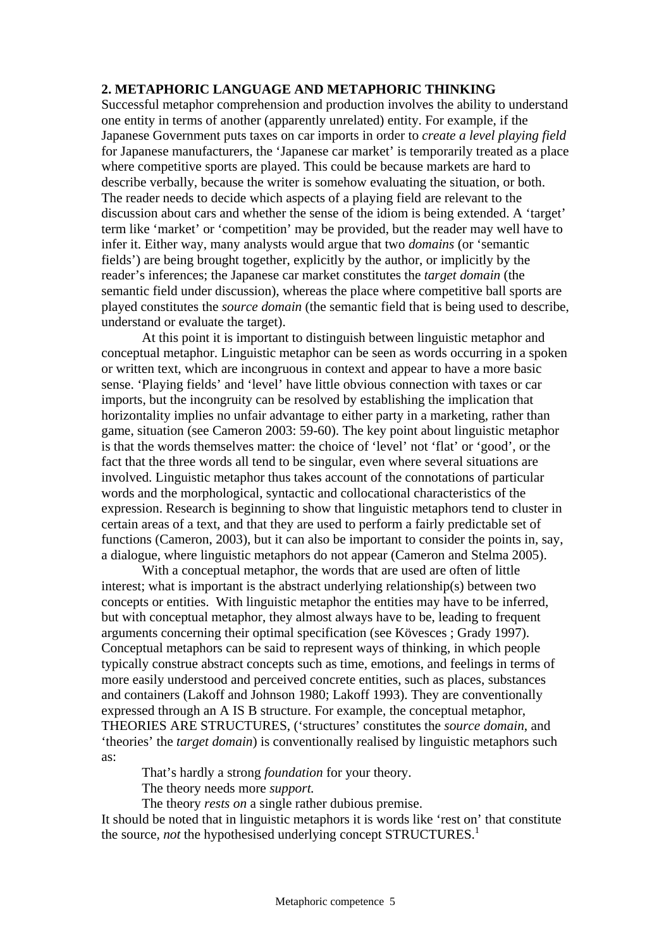#### **2. METAPHORIC LANGUAGE AND METAPHORIC THINKING**

Successful metaphor comprehension and production involves the ability to understand one entity in terms of another (apparently unrelated) entity. For example, if the Japanese Government puts taxes on car imports in order to *create a level playing field*  for Japanese manufacturers, the 'Japanese car market' is temporarily treated as a place where competitive sports are played. This could be because markets are hard to describe verbally, because the writer is somehow evaluating the situation, or both. The reader needs to decide which aspects of a playing field are relevant to the discussion about cars and whether the sense of the idiom is being extended. A 'target' term like 'market' or 'competition' may be provided, but the reader may well have to infer it. Either way, many analysts would argue that two *domains* (or 'semantic fields') are being brought together, explicitly by the author, or implicitly by the reader's inferences; the Japanese car market constitutes the *target domain* (the semantic field under discussion), whereas the place where competitive ball sports are played constitutes the *source domain* (the semantic field that is being used to describe, understand or evaluate the target).

At this point it is important to distinguish between linguistic metaphor and conceptual metaphor. Linguistic metaphor can be seen as words occurring in a spoken or written text, which are incongruous in context and appear to have a more basic sense. 'Playing fields' and 'level' have little obvious connection with taxes or car imports, but the incongruity can be resolved by establishing the implication that horizontality implies no unfair advantage to either party in a marketing, rather than game, situation (see Cameron 2003: 59-60). The key point about linguistic metaphor is that the words themselves matter: the choice of 'level' not 'flat' or 'good', or the fact that the three words all tend to be singular, even where several situations are involved. Linguistic metaphor thus takes account of the connotations of particular words and the morphological, syntactic and collocational characteristics of the expression. Research is beginning to show that linguistic metaphors tend to cluster in certain areas of a text, and that they are used to perform a fairly predictable set of functions (Cameron, 2003), but it can also be important to consider the points in, say, a dialogue, where linguistic metaphors do not appear (Cameron and Stelma 2005).

With a conceptual metaphor, the words that are used are often of little interest; what is important is the abstract underlying relationship(s) between two concepts or entities. With linguistic metaphor the entities may have to be inferred, but with conceptual metaphor, they almost always have to be, leading to frequent arguments concerning their optimal specification (see Kövesces ; Grady 1997). Conceptual metaphors can be said to represent ways of thinking, in which people typically construe abstract concepts such as time, emotions, and feelings in terms of more easily understood and perceived concrete entities, such as places, substances and containers (Lakoff and Johnson 1980; Lakoff 1993). They are conventionally expressed through an A IS B structure. For example, the conceptual metaphor, THEORIES ARE STRUCTURES, ('structures' constitutes the *source domain*, and 'theories' the *target domain*) is conventionally realised by linguistic metaphors such as:

That's hardly a strong *foundation* for your theory.

The theory needs more *support.*

The theory *rests on* a single rather dubious premise.

It should be noted that in linguistic metaphors it is words like 'rest on' that constitute the source, *not* the hypothesised underlying concept STRUCTURES.<sup>1</sup>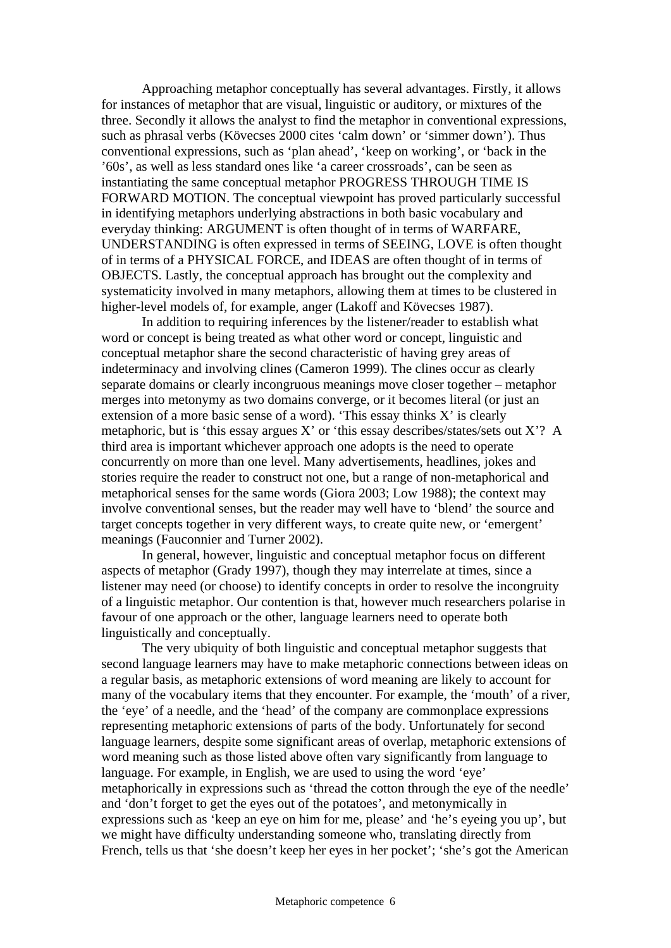Approaching metaphor conceptually has several advantages. Firstly, it allows for instances of metaphor that are visual, linguistic or auditory, or mixtures of the three. Secondly it allows the analyst to find the metaphor in conventional expressions, such as phrasal verbs (Kövecses 2000 cites 'calm down' or 'simmer down'). Thus conventional expressions, such as 'plan ahead', 'keep on working', or 'back in the '60s', as well as less standard ones like 'a career crossroads', can be seen as instantiating the same conceptual metaphor PROGRESS THROUGH TIME IS FORWARD MOTION. The conceptual viewpoint has proved particularly successful in identifying metaphors underlying abstractions in both basic vocabulary and everyday thinking: ARGUMENT is often thought of in terms of WARFARE, UNDERSTANDING is often expressed in terms of SEEING, LOVE is often thought of in terms of a PHYSICAL FORCE, and IDEAS are often thought of in terms of OBJECTS. Lastly, the conceptual approach has brought out the complexity and systematicity involved in many metaphors, allowing them at times to be clustered in higher-level models of, for example, anger (Lakoff and Kövecses 1987).

 In addition to requiring inferences by the listener/reader to establish what word or concept is being treated as what other word or concept, linguistic and conceptual metaphor share the second characteristic of having grey areas of indeterminacy and involving clines (Cameron 1999). The clines occur as clearly separate domains or clearly incongruous meanings move closer together – metaphor merges into metonymy as two domains converge, or it becomes literal (or just an extension of a more basic sense of a word). 'This essay thinks X' is clearly metaphoric, but is 'this essay argues X' or 'this essay describes/states/sets out X'? A third area is important whichever approach one adopts is the need to operate concurrently on more than one level. Many advertisements, headlines, jokes and stories require the reader to construct not one, but a range of non-metaphorical and metaphorical senses for the same words (Giora 2003; Low 1988); the context may involve conventional senses, but the reader may well have to 'blend' the source and target concepts together in very different ways, to create quite new, or 'emergent' meanings (Fauconnier and Turner 2002).

 In general, however, linguistic and conceptual metaphor focus on different aspects of metaphor (Grady 1997), though they may interrelate at times, since a listener may need (or choose) to identify concepts in order to resolve the incongruity of a linguistic metaphor. Our contention is that, however much researchers polarise in favour of one approach or the other, language learners need to operate both linguistically and conceptually.

The very ubiquity of both linguistic and conceptual metaphor suggests that second language learners may have to make metaphoric connections between ideas on a regular basis, as metaphoric extensions of word meaning are likely to account for many of the vocabulary items that they encounter. For example, the 'mouth' of a river, the 'eye' of a needle, and the 'head' of the company are commonplace expressions representing metaphoric extensions of parts of the body. Unfortunately for second language learners, despite some significant areas of overlap, metaphoric extensions of word meaning such as those listed above often vary significantly from language to language. For example, in English, we are used to using the word 'eye' metaphorically in expressions such as 'thread the cotton through the eye of the needle' and 'don't forget to get the eyes out of the potatoes', and metonymically in expressions such as 'keep an eye on him for me, please' and 'he's eyeing you up', but we might have difficulty understanding someone who, translating directly from French, tells us that 'she doesn't keep her eyes in her pocket'; 'she's got the American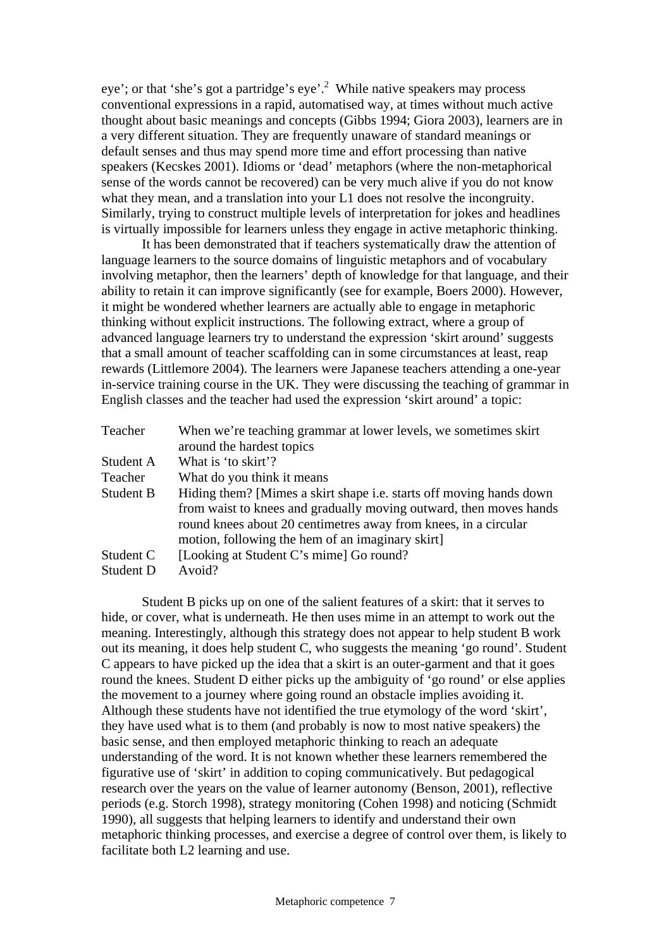eye'; or that 'she's got a partridge's eye'.<sup>2</sup> While native speakers may process conventional expressions in a rapid, automatised way, at times without much active thought about basic meanings and concepts (Gibbs 1994; Giora 2003), learners are in a very different situation. They are frequently unaware of standard meanings or default senses and thus may spend more time and effort processing than native speakers (Kecskes 2001). Idioms or 'dead' metaphors (where the non-metaphorical sense of the words cannot be recovered) can be very much alive if you do not know what they mean, and a translation into your L1 does not resolve the incongruity. Similarly, trying to construct multiple levels of interpretation for jokes and headlines is virtually impossible for learners unless they engage in active metaphoric thinking.

It has been demonstrated that if teachers systematically draw the attention of language learners to the source domains of linguistic metaphors and of vocabulary involving metaphor, then the learners' depth of knowledge for that language, and their ability to retain it can improve significantly (see for example, Boers 2000). However, it might be wondered whether learners are actually able to engage in metaphoric thinking without explicit instructions. The following extract, where a group of advanced language learners try to understand the expression 'skirt around' suggests that a small amount of teacher scaffolding can in some circumstances at least, reap rewards (Littlemore 2004). The learners were Japanese teachers attending a one-year in-service training course in the UK. They were discussing the teaching of grammar in English classes and the teacher had used the expression 'skirt around' a topic:

| Teacher   | When we're teaching grammar at lower levels, we sometimes skirt     |  |  |
|-----------|---------------------------------------------------------------------|--|--|
|           | around the hardest topics                                           |  |  |
| Student A | What is 'to skirt'?                                                 |  |  |
| Teacher   | What do you think it means                                          |  |  |
| Student B | Hiding them? [Mimes a skirt shape i.e. starts off moving hands down |  |  |
|           | from waist to knees and gradually moving outward, then moves hands  |  |  |
|           | round knees about 20 centimetres away from knees, in a circular     |  |  |
|           | motion, following the hem of an imaginary skirt                     |  |  |
| Student C | [Looking at Student C's mime] Go round?                             |  |  |
| Student D | Avoid?                                                              |  |  |

Student B picks up on one of the salient features of a skirt: that it serves to hide, or cover, what is underneath. He then uses mime in an attempt to work out the meaning. Interestingly, although this strategy does not appear to help student B work out its meaning, it does help student C, who suggests the meaning 'go round'. Student C appears to have picked up the idea that a skirt is an outer-garment and that it goes round the knees. Student D either picks up the ambiguity of 'go round' or else applies the movement to a journey where going round an obstacle implies avoiding it. Although these students have not identified the true etymology of the word 'skirt', they have used what is to them (and probably is now to most native speakers) the basic sense, and then employed metaphoric thinking to reach an adequate understanding of the word. It is not known whether these learners remembered the figurative use of 'skirt' in addition to coping communicatively. But pedagogical research over the years on the value of learner autonomy (Benson, 2001), reflective periods (e.g. Storch 1998), strategy monitoring (Cohen 1998) and noticing (Schmidt 1990), all suggests that helping learners to identify and understand their own metaphoric thinking processes, and exercise a degree of control over them, is likely to facilitate both L2 learning and use.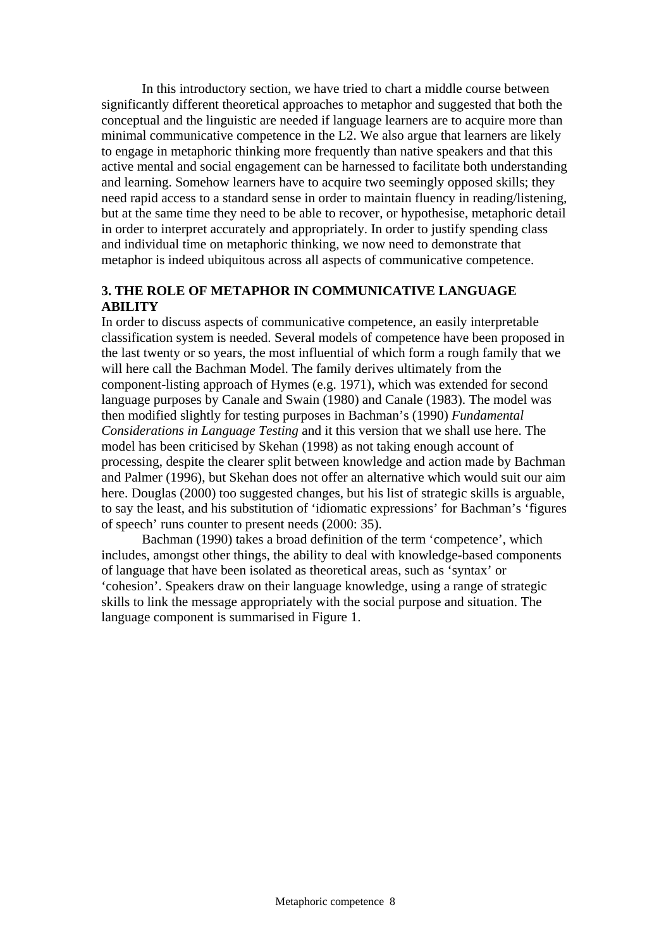In this introductory section, we have tried to chart a middle course between significantly different theoretical approaches to metaphor and suggested that both the conceptual and the linguistic are needed if language learners are to acquire more than minimal communicative competence in the L2. We also argue that learners are likely to engage in metaphoric thinking more frequently than native speakers and that this active mental and social engagement can be harnessed to facilitate both understanding and learning. Somehow learners have to acquire two seemingly opposed skills; they need rapid access to a standard sense in order to maintain fluency in reading/listening, but at the same time they need to be able to recover, or hypothesise, metaphoric detail in order to interpret accurately and appropriately. In order to justify spending class and individual time on metaphoric thinking, we now need to demonstrate that metaphor is indeed ubiquitous across all aspects of communicative competence.

#### **3. THE ROLE OF METAPHOR IN COMMUNICATIVE LANGUAGE ABILITY**

In order to discuss aspects of communicative competence, an easily interpretable classification system is needed. Several models of competence have been proposed in the last twenty or so years, the most influential of which form a rough family that we will here call the Bachman Model. The family derives ultimately from the component-listing approach of Hymes (e.g. 1971), which was extended for second language purposes by Canale and Swain (1980) and Canale (1983). The model was then modified slightly for testing purposes in Bachman's (1990) *Fundamental Considerations in Language Testing* and it this version that we shall use here. The model has been criticised by Skehan (1998) as not taking enough account of processing, despite the clearer split between knowledge and action made by Bachman and Palmer (1996), but Skehan does not offer an alternative which would suit our aim here. Douglas (2000) too suggested changes, but his list of strategic skills is arguable, to say the least, and his substitution of 'idiomatic expressions' for Bachman's 'figures of speech' runs counter to present needs (2000: 35).

 Bachman (1990) takes a broad definition of the term 'competence', which includes, amongst other things, the ability to deal with knowledge-based components of language that have been isolated as theoretical areas, such as 'syntax' or 'cohesion'. Speakers draw on their language knowledge, using a range of strategic skills to link the message appropriately with the social purpose and situation. The language component is summarised in Figure 1.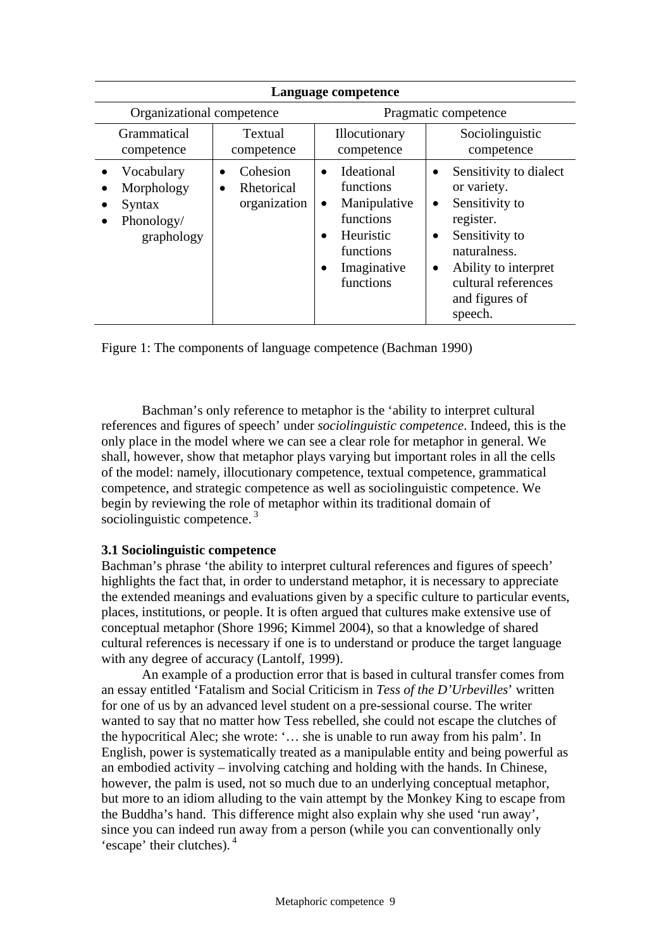| Language competence                                            |                                        |                                                                                                                                                          |                                                                                                                                                                                                                           |  |  |
|----------------------------------------------------------------|----------------------------------------|----------------------------------------------------------------------------------------------------------------------------------------------------------|---------------------------------------------------------------------------------------------------------------------------------------------------------------------------------------------------------------------------|--|--|
| Organizational competence                                      |                                        | Pragmatic competence                                                                                                                                     |                                                                                                                                                                                                                           |  |  |
| Grammatical<br>competence                                      | Textual<br>competence                  | <b>Illocutionary</b><br>competence                                                                                                                       | Sociolinguistic<br>competence                                                                                                                                                                                             |  |  |
| Vocabulary<br>Morphology<br>Syntax<br>Phonology/<br>graphology | Cohesion<br>Rhetorical<br>organization | <b>Ideational</b><br>$\bullet$<br>functions<br>Manipulative<br>$\bullet$<br>functions<br>Heuristic<br>$\bullet$<br>functions<br>Imaginative<br>functions | Sensitivity to dialect<br>or variety.<br>Sensitivity to<br>$\bullet$<br>register.<br>Sensitivity to<br>$\bullet$<br>naturalness.<br>Ability to interpret<br>$\bullet$<br>cultural references<br>and figures of<br>speech. |  |  |

Figure 1: The components of language competence (Bachman 1990)

 Bachman's only reference to metaphor is the 'ability to interpret cultural references and figures of speech' under *sociolinguistic competence*. Indeed, this is the only place in the model where we can see a clear role for metaphor in general. We shall, however, show that metaphor plays varying but important roles in all the cells of the model: namely, illocutionary competence, textual competence, grammatical competence, and strategic competence as well as sociolinguistic competence. We begin by reviewing the role of metaphor within its traditional domain of sociolinguistic competence.<sup>3</sup>

## **3.1 Sociolinguistic competence**

Bachman's phrase 'the ability to interpret cultural references and figures of speech' highlights the fact that, in order to understand metaphor, it is necessary to appreciate the extended meanings and evaluations given by a specific culture to particular events, places, institutions, or people. It is often argued that cultures make extensive use of conceptual metaphor (Shore 1996; Kimmel 2004), so that a knowledge of shared cultural references is necessary if one is to understand or produce the target language with any degree of accuracy (Lantolf, 1999).

 An example of a production error that is based in cultural transfer comes from an essay entitled 'Fatalism and Social Criticism in *Tess of the D'Urbevilles*' written for one of us by an advanced level student on a pre-sessional course. The writer wanted to say that no matter how Tess rebelled, she could not escape the clutches of the hypocritical Alec; she wrote: '… she is unable to run away from his palm'. In English, power is systematically treated as a manipulable entity and being powerful as an embodied activity – involving catching and holding with the hands. In Chinese, however, the palm is used, not so much due to an underlying conceptual metaphor, but more to an idiom alluding to the vain attempt by the Monkey King to escape from the Buddha's hand. This difference might also explain why she used 'run away', since you can indeed run away from a person (while you can conventionally only 'escape' their clutches). 4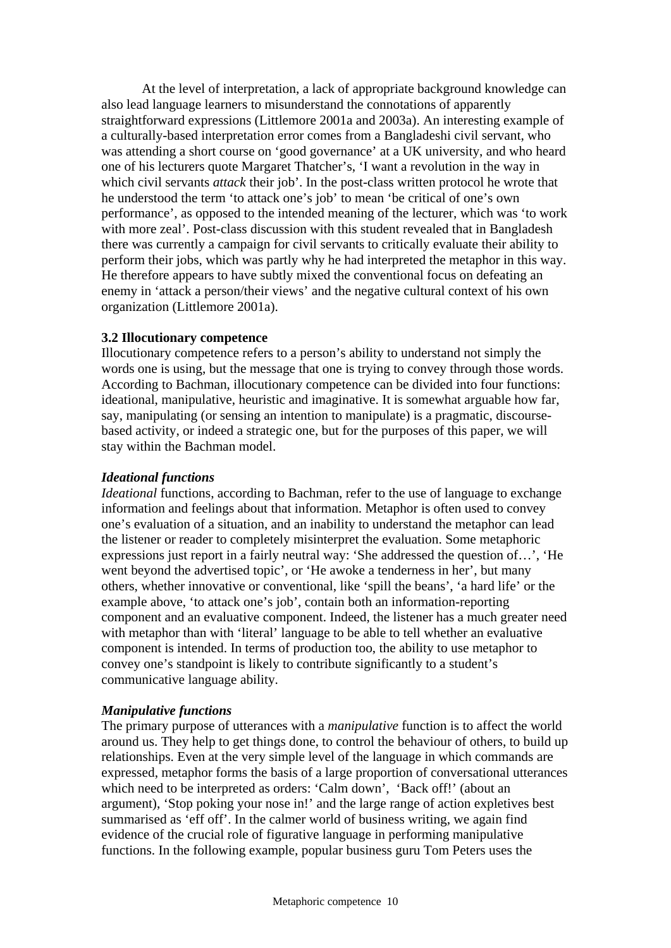At the level of interpretation, a lack of appropriate background knowledge can also lead language learners to misunderstand the connotations of apparently straightforward expressions (Littlemore 2001a and 2003a). An interesting example of a culturally-based interpretation error comes from a Bangladeshi civil servant, who was attending a short course on 'good governance' at a UK university, and who heard one of his lecturers quote Margaret Thatcher's, 'I want a revolution in the way in which civil servants *attack* their job'. In the post-class written protocol he wrote that he understood the term 'to attack one's job' to mean 'be critical of one's own performance', as opposed to the intended meaning of the lecturer, which was 'to work with more zeal'. Post-class discussion with this student revealed that in Bangladesh there was currently a campaign for civil servants to critically evaluate their ability to perform their jobs, which was partly why he had interpreted the metaphor in this way. He therefore appears to have subtly mixed the conventional focus on defeating an enemy in 'attack a person/their views' and the negative cultural context of his own organization (Littlemore 2001a).

#### **3.2 Illocutionary competence**

Illocutionary competence refers to a person's ability to understand not simply the words one is using, but the message that one is trying to convey through those words. According to Bachman, illocutionary competence can be divided into four functions: ideational, manipulative, heuristic and imaginative. It is somewhat arguable how far, say, manipulating (or sensing an intention to manipulate) is a pragmatic, discoursebased activity, or indeed a strategic one, but for the purposes of this paper, we will stay within the Bachman model.

#### *Ideational functions*

*Ideational* functions, according to Bachman, refer to the use of language to exchange information and feelings about that information. Metaphor is often used to convey one's evaluation of a situation, and an inability to understand the metaphor can lead the listener or reader to completely misinterpret the evaluation. Some metaphoric expressions just report in a fairly neutral way: 'She addressed the question of…', 'He went beyond the advertised topic', or 'He awoke a tenderness in her', but many others, whether innovative or conventional, like 'spill the beans', 'a hard life' or the example above, 'to attack one's job', contain both an information-reporting component and an evaluative component. Indeed, the listener has a much greater need with metaphor than with 'literal' language to be able to tell whether an evaluative component is intended. In terms of production too, the ability to use metaphor to convey one's standpoint is likely to contribute significantly to a student's communicative language ability.

## *Manipulative functions*

The primary purpose of utterances with a *manipulative* function is to affect the world around us. They help to get things done, to control the behaviour of others, to build up relationships. Even at the very simple level of the language in which commands are expressed, metaphor forms the basis of a large proportion of conversational utterances which need to be interpreted as orders: 'Calm down', 'Back off!' (about an argument), 'Stop poking your nose in!' and the large range of action expletives best summarised as 'eff off'. In the calmer world of business writing, we again find evidence of the crucial role of figurative language in performing manipulative functions. In the following example, popular business guru Tom Peters uses the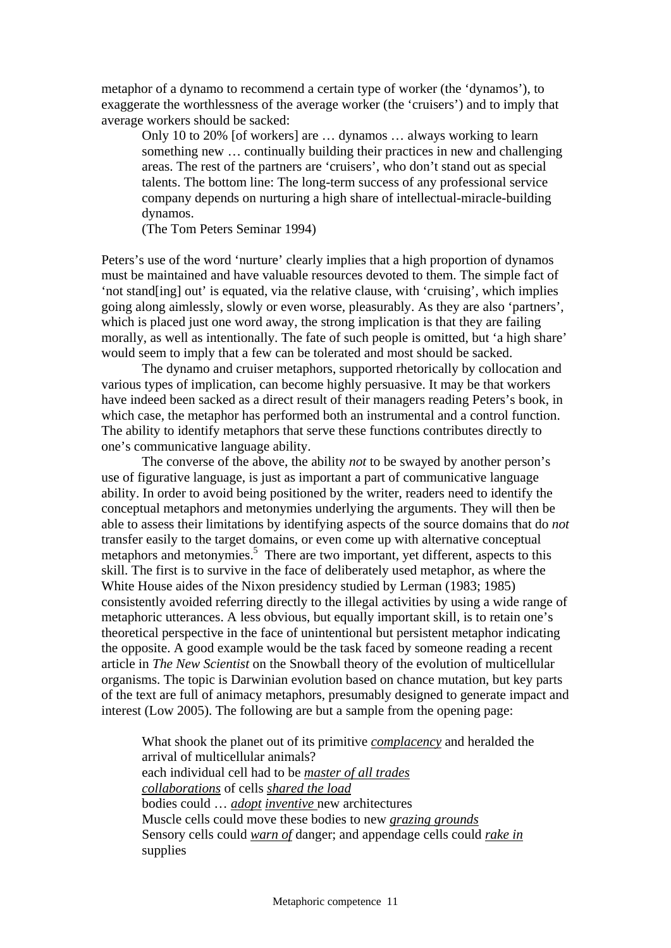metaphor of a dynamo to recommend a certain type of worker (the 'dynamos'), to exaggerate the worthlessness of the average worker (the 'cruisers') and to imply that average workers should be sacked:

Only 10 to 20% [of workers] are … dynamos … always working to learn something new … continually building their practices in new and challenging areas. The rest of the partners are 'cruisers', who don't stand out as special talents. The bottom line: The long-term success of any professional service company depends on nurturing a high share of intellectual-miracle-building dynamos.

(The Tom Peters Seminar 1994)

Peters's use of the word 'nurture' clearly implies that a high proportion of dynamos must be maintained and have valuable resources devoted to them. The simple fact of 'not stand[ing] out' is equated, via the relative clause, with 'cruising', which implies going along aimlessly, slowly or even worse, pleasurably. As they are also 'partners', which is placed just one word away, the strong implication is that they are failing morally, as well as intentionally. The fate of such people is omitted, but 'a high share' would seem to imply that a few can be tolerated and most should be sacked.

The dynamo and cruiser metaphors, supported rhetorically by collocation and various types of implication, can become highly persuasive. It may be that workers have indeed been sacked as a direct result of their managers reading Peters's book, in which case, the metaphor has performed both an instrumental and a control function. The ability to identify metaphors that serve these functions contributes directly to one's communicative language ability.

 The converse of the above, the ability *not* to be swayed by another person's use of figurative language, is just as important a part of communicative language ability. In order to avoid being positioned by the writer, readers need to identify the conceptual metaphors and metonymies underlying the arguments. They will then be able to assess their limitations by identifying aspects of the source domains that do *not* transfer easily to the target domains, or even come up with alternative conceptual metaphors and metonymies.<sup>5</sup> There are two important, yet different, aspects to this skill. The first is to survive in the face of deliberately used metaphor, as where the White House aides of the Nixon presidency studied by Lerman (1983; 1985) consistently avoided referring directly to the illegal activities by using a wide range of metaphoric utterances. A less obvious, but equally important skill, is to retain one's theoretical perspective in the face of unintentional but persistent metaphor indicating the opposite. A good example would be the task faced by someone reading a recent article in *The New Scientist* on the Snowball theory of the evolution of multicellular organisms. The topic is Darwinian evolution based on chance mutation, but key parts of the text are full of animacy metaphors, presumably designed to generate impact and interest (Low 2005). The following are but a sample from the opening page:

What shook the planet out of its primitive *complacency* and heralded the arrival of multicellular animals? each individual cell had to be *master of all trades collaborations* of cells *shared the load* bodies could … *adopt inventive* new architectures Muscle cells could move these bodies to new *grazing grounds* Sensory cells could *warn of* danger; and appendage cells could *rake in* supplies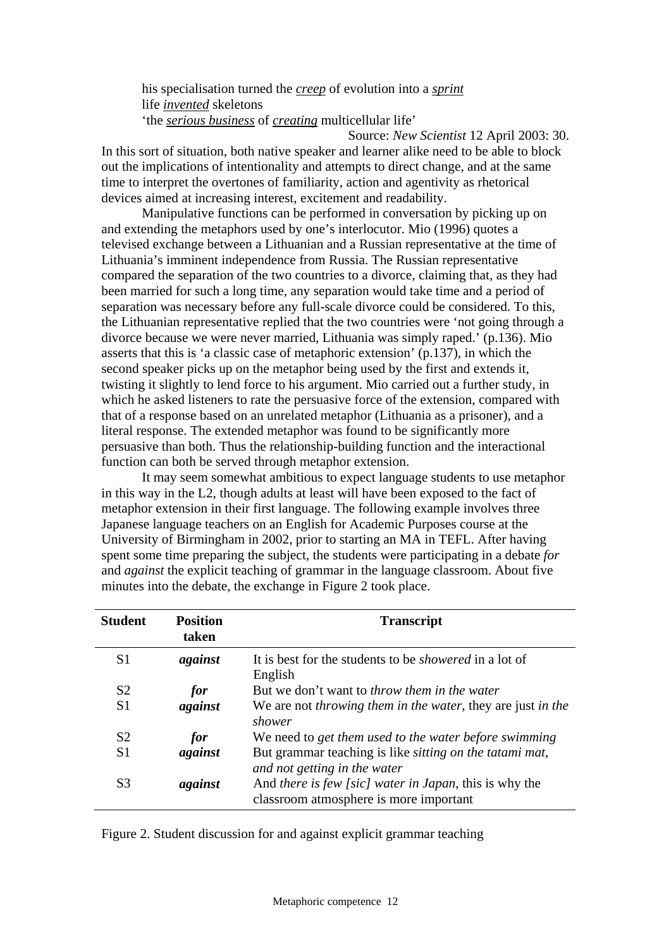his specialisation turned the *creep* of evolution into a *sprint* life *invented* skeletons 'the *serious business* of *creating* multicellular life'

Source: *New Scientist* 12 April 2003: 30. In this sort of situation, both native speaker and learner alike need to be able to block out the implications of intentionality and attempts to direct change, and at the same time to interpret the overtones of familiarity, action and agentivity as rhetorical devices aimed at increasing interest, excitement and readability.

 Manipulative functions can be performed in conversation by picking up on and extending the metaphors used by one's interlocutor. Mio (1996) quotes a televised exchange between a Lithuanian and a Russian representative at the time of Lithuania's imminent independence from Russia. The Russian representative compared the separation of the two countries to a divorce, claiming that, as they had been married for such a long time, any separation would take time and a period of separation was necessary before any full-scale divorce could be considered. To this, the Lithuanian representative replied that the two countries were 'not going through a divorce because we were never married, Lithuania was simply raped.' (p.136). Mio asserts that this is 'a classic case of metaphoric extension' (p.137), in which the second speaker picks up on the metaphor being used by the first and extends it, twisting it slightly to lend force to his argument. Mio carried out a further study, in which he asked listeners to rate the persuasive force of the extension, compared with that of a response based on an unrelated metaphor (Lithuania as a prisoner), and a literal response. The extended metaphor was found to be significantly more persuasive than both. Thus the relationship-building function and the interactional function can both be served through metaphor extension.

 It may seem somewhat ambitious to expect language students to use metaphor in this way in the L2, though adults at least will have been exposed to the fact of metaphor extension in their first language. The following example involves three Japanese language teachers on an English for Academic Purposes course at the University of Birmingham in 2002, prior to starting an MA in TEFL. After having spent some time preparing the subject, the students were participating in a debate *for* and *against* the explicit teaching of grammar in the language classroom. About five minutes into the debate, the exchange in Figure 2 took place.

| <b>Student</b> | <b>Position</b><br>taken | <b>Transcript</b>                                                                                |
|----------------|--------------------------|--------------------------------------------------------------------------------------------------|
| S <sub>1</sub> | against                  | It is best for the students to be <i>showered</i> in a lot of<br>English                         |
| S <sub>2</sub> | for                      | But we don't want to <i>throw them in the water</i>                                              |
| S <sub>1</sub> | against                  | We are not <i>throwing them in the water</i> , they are just <i>in the</i><br>shower             |
| S <sub>2</sub> | for                      | We need to get them used to the water before swimming                                            |
| S1             | against                  | But grammar teaching is like <i>sitting on the tatami mat</i> ,<br>and not getting in the water  |
| S <sub>3</sub> | against                  | And there is few [sic] water in Japan, this is why the<br>classroom atmosphere is more important |

Figure 2. Student discussion for and against explicit grammar teaching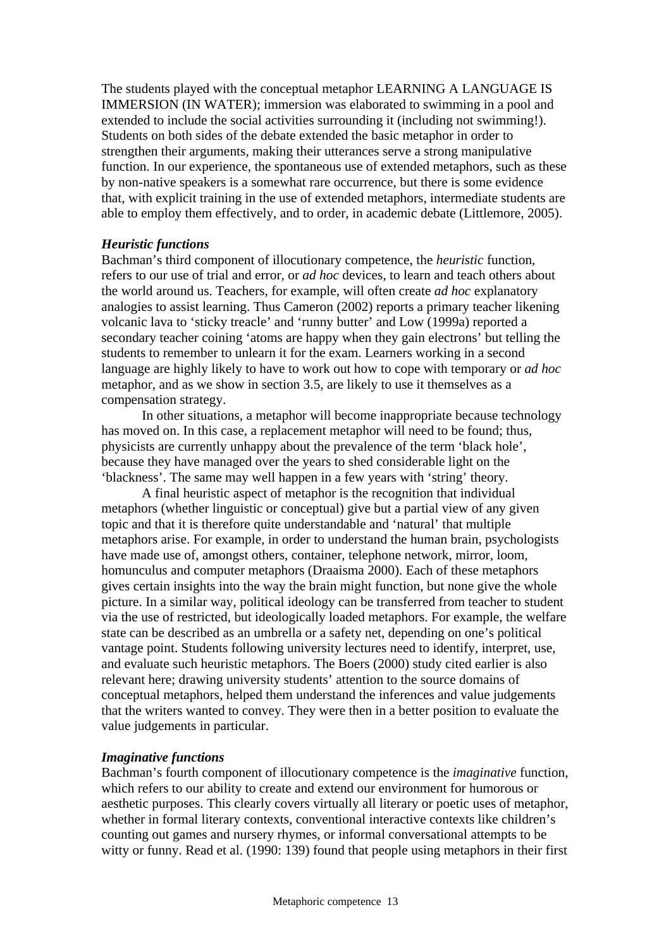The students played with the conceptual metaphor LEARNING A LANGUAGE IS IMMERSION (IN WATER); immersion was elaborated to swimming in a pool and extended to include the social activities surrounding it (including not swimming!). Students on both sides of the debate extended the basic metaphor in order to strengthen their arguments, making their utterances serve a strong manipulative function. In our experience, the spontaneous use of extended metaphors, such as these by non-native speakers is a somewhat rare occurrence, but there is some evidence that, with explicit training in the use of extended metaphors, intermediate students are able to employ them effectively, and to order, in academic debate (Littlemore, 2005).

#### *Heuristic functions*

Bachman's third component of illocutionary competence, the *heuristic* function, refers to our use of trial and error, or *ad hoc* devices, to learn and teach others about the world around us. Teachers, for example, will often create *ad hoc* explanatory analogies to assist learning. Thus Cameron (2002) reports a primary teacher likening volcanic lava to 'sticky treacle' and 'runny butter' and Low (1999a) reported a secondary teacher coining 'atoms are happy when they gain electrons' but telling the students to remember to unlearn it for the exam. Learners working in a second language are highly likely to have to work out how to cope with temporary or *ad hoc* metaphor, and as we show in section 3.5, are likely to use it themselves as a compensation strategy.

 In other situations, a metaphor will become inappropriate because technology has moved on. In this case, a replacement metaphor will need to be found; thus, physicists are currently unhappy about the prevalence of the term 'black hole', because they have managed over the years to shed considerable light on the 'blackness'. The same may well happen in a few years with 'string' theory.

 A final heuristic aspect of metaphor is the recognition that individual metaphors (whether linguistic or conceptual) give but a partial view of any given topic and that it is therefore quite understandable and 'natural' that multiple metaphors arise. For example, in order to understand the human brain, psychologists have made use of, amongst others, container, telephone network, mirror, loom, homunculus and computer metaphors (Draaisma 2000). Each of these metaphors gives certain insights into the way the brain might function, but none give the whole picture. In a similar way, political ideology can be transferred from teacher to student via the use of restricted, but ideologically loaded metaphors. For example, the welfare state can be described as an umbrella or a safety net, depending on one's political vantage point. Students following university lectures need to identify, interpret, use, and evaluate such heuristic metaphors. The Boers (2000) study cited earlier is also relevant here; drawing university students' attention to the source domains of conceptual metaphors, helped them understand the inferences and value judgements that the writers wanted to convey. They were then in a better position to evaluate the value judgements in particular.

## *Imaginative functions*

Bachman's fourth component of illocutionary competence is the *imaginative* function, which refers to our ability to create and extend our environment for humorous or aesthetic purposes. This clearly covers virtually all literary or poetic uses of metaphor, whether in formal literary contexts, conventional interactive contexts like children's counting out games and nursery rhymes, or informal conversational attempts to be witty or funny. Read et al. (1990: 139) found that people using metaphors in their first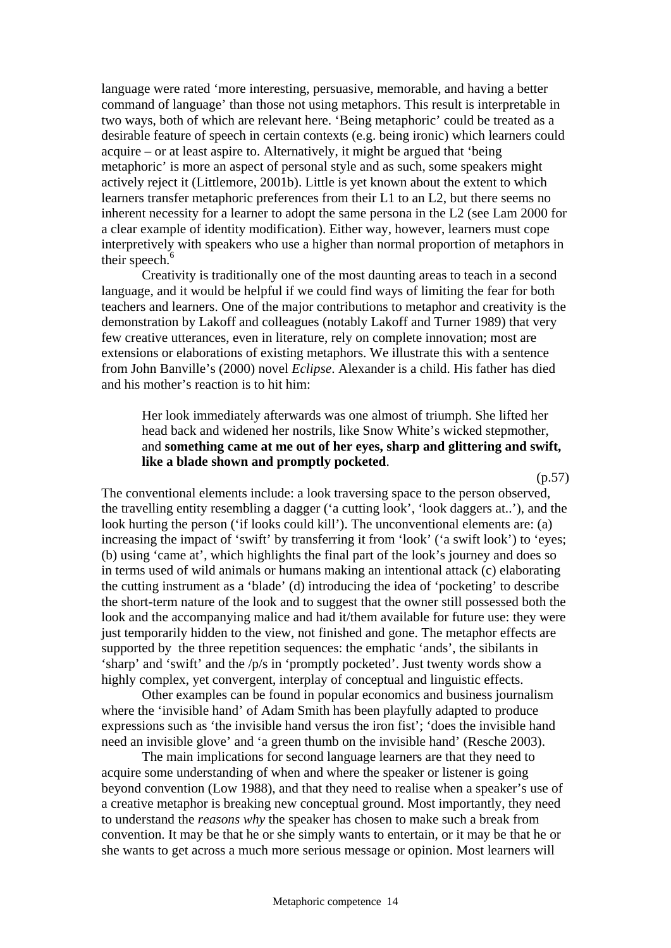language were rated 'more interesting, persuasive, memorable, and having a better command of language' than those not using metaphors. This result is interpretable in two ways, both of which are relevant here. 'Being metaphoric' could be treated as a desirable feature of speech in certain contexts (e.g. being ironic) which learners could acquire – or at least aspire to. Alternatively, it might be argued that 'being metaphoric' is more an aspect of personal style and as such, some speakers might actively reject it (Littlemore, 2001b). Little is yet known about the extent to which learners transfer metaphoric preferences from their L1 to an L2, but there seems no inherent necessity for a learner to adopt the same persona in the L2 (see Lam 2000 for a clear example of identity modification). Either way, however, learners must cope interpretively with speakers who use a higher than normal proportion of metaphors in their speech.<sup>6</sup>

 Creativity is traditionally one of the most daunting areas to teach in a second language, and it would be helpful if we could find ways of limiting the fear for both teachers and learners. One of the major contributions to metaphor and creativity is the demonstration by Lakoff and colleagues (notably Lakoff and Turner 1989) that very few creative utterances, even in literature, rely on complete innovation; most are extensions or elaborations of existing metaphors. We illustrate this with a sentence from John Banville's (2000) novel *Eclipse*. Alexander is a child. His father has died and his mother's reaction is to hit him:

Her look immediately afterwards was one almost of triumph. She lifted her head back and widened her nostrils, like Snow White's wicked stepmother, and **something came at me out of her eyes, sharp and glittering and swift, like a blade shown and promptly pocketed**.

(p.57)

The conventional elements include: a look traversing space to the person observed, the travelling entity resembling a dagger ('a cutting look', 'look daggers at..'), and the look hurting the person ('if looks could kill'). The unconventional elements are: (a) increasing the impact of 'swift' by transferring it from 'look' ('a swift look') to 'eyes; (b) using 'came at', which highlights the final part of the look's journey and does so in terms used of wild animals or humans making an intentional attack (c) elaborating the cutting instrument as a 'blade' (d) introducing the idea of 'pocketing' to describe the short-term nature of the look and to suggest that the owner still possessed both the look and the accompanying malice and had it/them available for future use: they were just temporarily hidden to the view, not finished and gone. The metaphor effects are supported by the three repetition sequences: the emphatic 'ands', the sibilants in 'sharp' and 'swift' and the /p/s in 'promptly pocketed'. Just twenty words show a highly complex, yet convergent, interplay of conceptual and linguistic effects.

Other examples can be found in popular economics and business journalism where the 'invisible hand' of Adam Smith has been playfully adapted to produce expressions such as 'the invisible hand versus the iron fist'; 'does the invisible hand need an invisible glove' and 'a green thumb on the invisible hand' (Resche 2003).

The main implications for second language learners are that they need to acquire some understanding of when and where the speaker or listener is going beyond convention (Low 1988), and that they need to realise when a speaker's use of a creative metaphor is breaking new conceptual ground. Most importantly, they need to understand the *reasons why* the speaker has chosen to make such a break from convention. It may be that he or she simply wants to entertain, or it may be that he or she wants to get across a much more serious message or opinion. Most learners will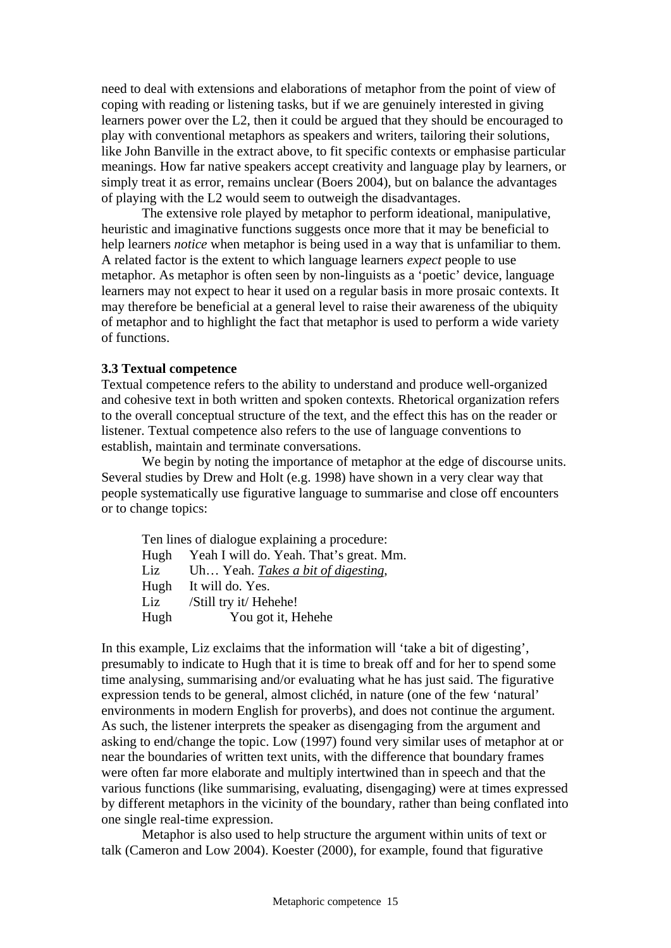need to deal with extensions and elaborations of metaphor from the point of view of coping with reading or listening tasks, but if we are genuinely interested in giving learners power over the L2, then it could be argued that they should be encouraged to play with conventional metaphors as speakers and writers, tailoring their solutions, like John Banville in the extract above, to fit specific contexts or emphasise particular meanings. How far native speakers accept creativity and language play by learners, or simply treat it as error, remains unclear (Boers 2004), but on balance the advantages of playing with the L2 would seem to outweigh the disadvantages.

 The extensive role played by metaphor to perform ideational, manipulative, heuristic and imaginative functions suggests once more that it may be beneficial to help learners *notice* when metaphor is being used in a way that is unfamiliar to them. A related factor is the extent to which language learners *expect* people to use metaphor. As metaphor is often seen by non-linguists as a 'poetic' device, language learners may not expect to hear it used on a regular basis in more prosaic contexts. It may therefore be beneficial at a general level to raise their awareness of the ubiquity of metaphor and to highlight the fact that metaphor is used to perform a wide variety of functions.

#### **3.3 Textual competence**

Textual competence refers to the ability to understand and produce well-organized and cohesive text in both written and spoken contexts. Rhetorical organization refers to the overall conceptual structure of the text, and the effect this has on the reader or listener. Textual competence also refers to the use of language conventions to establish, maintain and terminate conversations.

 We begin by noting the importance of metaphor at the edge of discourse units. Several studies by Drew and Holt (e.g. 1998) have shown in a very clear way that people systematically use figurative language to summarise and close off encounters or to change topics:

| Ten lines of dialogue explaining a procedure: |                                              |  |  |
|-----------------------------------------------|----------------------------------------------|--|--|
|                                               | Hugh Yeah I will do. Yeah. That's great. Mm. |  |  |
| Liz                                           | Uh Yeah. Takes a bit of digesting,           |  |  |
| Hugh                                          | It will do. Yes.                             |  |  |
| Liz                                           | /Still try it/ Hehehe!                       |  |  |
| Hugh                                          | You got it, Hehehe                           |  |  |

In this example, Liz exclaims that the information will 'take a bit of digesting', presumably to indicate to Hugh that it is time to break off and for her to spend some time analysing, summarising and/or evaluating what he has just said. The figurative expression tends to be general, almost clichéd, in nature (one of the few 'natural' environments in modern English for proverbs), and does not continue the argument. As such, the listener interprets the speaker as disengaging from the argument and asking to end/change the topic. Low (1997) found very similar uses of metaphor at or near the boundaries of written text units, with the difference that boundary frames were often far more elaborate and multiply intertwined than in speech and that the various functions (like summarising, evaluating, disengaging) were at times expressed by different metaphors in the vicinity of the boundary, rather than being conflated into one single real-time expression.

 Metaphor is also used to help structure the argument within units of text or talk (Cameron and Low 2004). Koester (2000), for example, found that figurative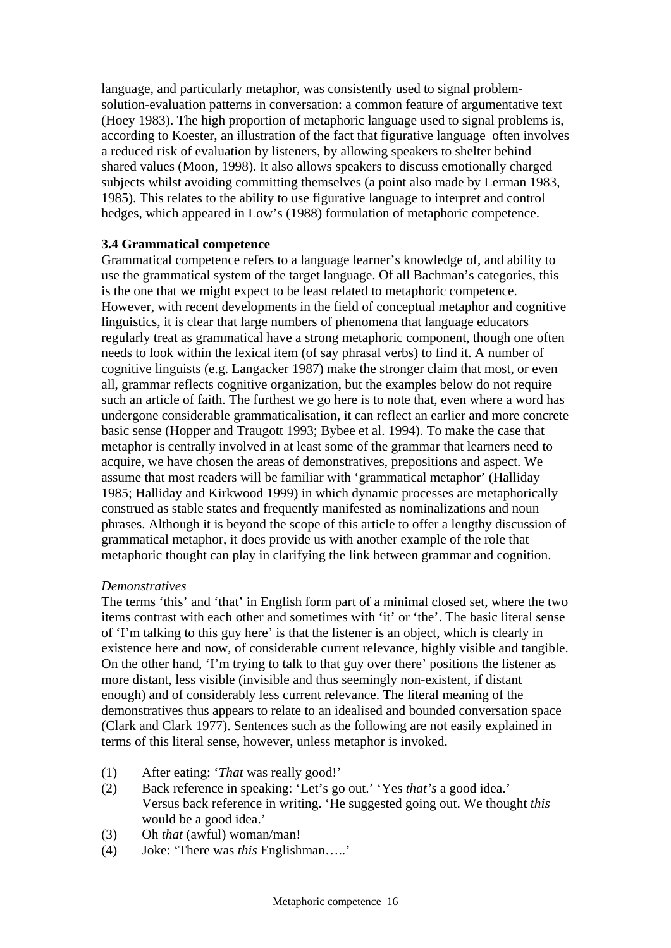language, and particularly metaphor, was consistently used to signal problemsolution-evaluation patterns in conversation: a common feature of argumentative text (Hoey 1983). The high proportion of metaphoric language used to signal problems is, according to Koester, an illustration of the fact that figurative language often involves a reduced risk of evaluation by listeners, by allowing speakers to shelter behind shared values (Moon, 1998). It also allows speakers to discuss emotionally charged subjects whilst avoiding committing themselves (a point also made by Lerman 1983, 1985). This relates to the ability to use figurative language to interpret and control hedges, which appeared in Low's (1988) formulation of metaphoric competence.

#### **3.4 Grammatical competence**

Grammatical competence refers to a language learner's knowledge of, and ability to use the grammatical system of the target language. Of all Bachman's categories, this is the one that we might expect to be least related to metaphoric competence. However, with recent developments in the field of conceptual metaphor and cognitive linguistics, it is clear that large numbers of phenomena that language educators regularly treat as grammatical have a strong metaphoric component, though one often needs to look within the lexical item (of say phrasal verbs) to find it. A number of cognitive linguists (e.g. Langacker 1987) make the stronger claim that most, or even all, grammar reflects cognitive organization, but the examples below do not require such an article of faith. The furthest we go here is to note that, even where a word has undergone considerable grammaticalisation, it can reflect an earlier and more concrete basic sense (Hopper and Traugott 1993; Bybee et al. 1994). To make the case that metaphor is centrally involved in at least some of the grammar that learners need to acquire, we have chosen the areas of demonstratives, prepositions and aspect. We assume that most readers will be familiar with 'grammatical metaphor' (Halliday 1985; Halliday and Kirkwood 1999) in which dynamic processes are metaphorically construed as stable states and frequently manifested as nominalizations and noun phrases. Although it is beyond the scope of this article to offer a lengthy discussion of grammatical metaphor, it does provide us with another example of the role that metaphoric thought can play in clarifying the link between grammar and cognition.

#### *Demonstratives*

The terms 'this' and 'that' in English form part of a minimal closed set, where the two items contrast with each other and sometimes with 'it' or 'the'. The basic literal sense of 'I'm talking to this guy here' is that the listener is an object, which is clearly in existence here and now, of considerable current relevance, highly visible and tangible. On the other hand, 'I'm trying to talk to that guy over there' positions the listener as more distant, less visible (invisible and thus seemingly non-existent, if distant enough) and of considerably less current relevance. The literal meaning of the demonstratives thus appears to relate to an idealised and bounded conversation space (Clark and Clark 1977). Sentences such as the following are not easily explained in terms of this literal sense, however, unless metaphor is invoked.

- (1) After eating: '*That* was really good!'
- (2) Back reference in speaking: 'Let's go out.' 'Yes *that's* a good idea.' Versus back reference in writing. 'He suggested going out. We thought *this* would be a good idea.'
- (3) Oh *that* (awful) woman/man!
- (4) Joke: 'There was *this* Englishman…..'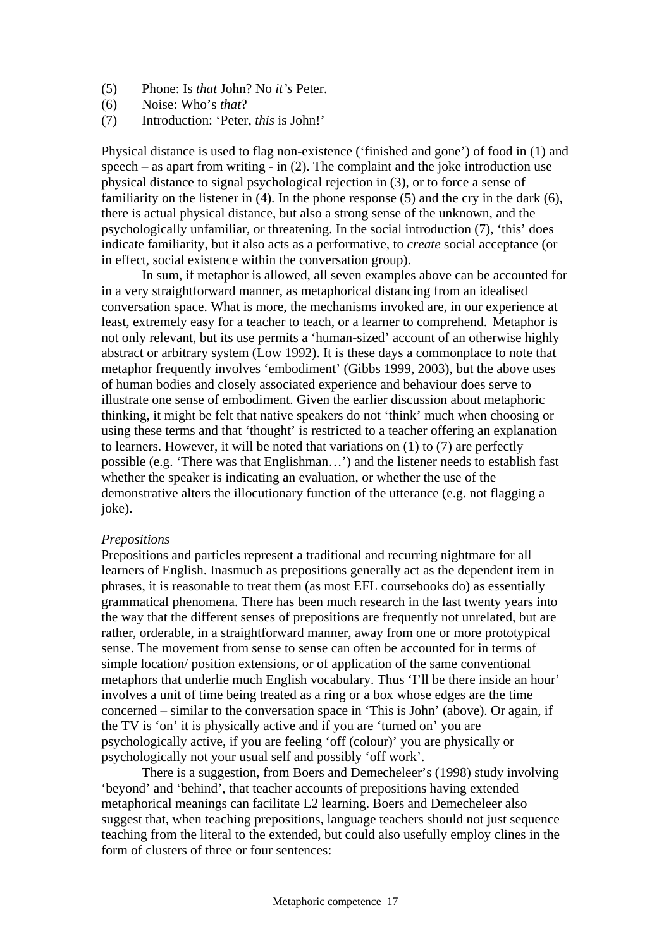- (5) Phone: Is *that* John? No *it's* Peter.
- (6) Noise: Who's *that*?
- (7) Introduction: 'Peter, *this* is John!'

Physical distance is used to flag non-existence ('finished and gone') of food in (1) and speech – as apart from writing  $\overline{\cdot}$  in (2). The complaint and the joke introduction use physical distance to signal psychological rejection in (3), or to force a sense of familiarity on the listener in (4). In the phone response (5) and the cry in the dark (6), there is actual physical distance, but also a strong sense of the unknown, and the psychologically unfamiliar, or threatening. In the social introduction (7), 'this' does indicate familiarity, but it also acts as a performative, to *create* social acceptance (or in effect, social existence within the conversation group).

 In sum, if metaphor is allowed, all seven examples above can be accounted for in a very straightforward manner, as metaphorical distancing from an idealised conversation space. What is more, the mechanisms invoked are, in our experience at least, extremely easy for a teacher to teach, or a learner to comprehend. Metaphor is not only relevant, but its use permits a 'human-sized' account of an otherwise highly abstract or arbitrary system (Low 1992). It is these days a commonplace to note that metaphor frequently involves 'embodiment' (Gibbs 1999, 2003), but the above uses of human bodies and closely associated experience and behaviour does serve to illustrate one sense of embodiment. Given the earlier discussion about metaphoric thinking, it might be felt that native speakers do not 'think' much when choosing or using these terms and that 'thought' is restricted to a teacher offering an explanation to learners. However, it will be noted that variations on (1) to (7) are perfectly possible (e.g. 'There was that Englishman…') and the listener needs to establish fast whether the speaker is indicating an evaluation, or whether the use of the demonstrative alters the illocutionary function of the utterance (e.g. not flagging a joke).

#### *Prepositions*

Prepositions and particles represent a traditional and recurring nightmare for all learners of English. Inasmuch as prepositions generally act as the dependent item in phrases, it is reasonable to treat them (as most EFL coursebooks do) as essentially grammatical phenomena. There has been much research in the last twenty years into the way that the different senses of prepositions are frequently not unrelated, but are rather, orderable, in a straightforward manner, away from one or more prototypical sense. The movement from sense to sense can often be accounted for in terms of simple location/ position extensions, or of application of the same conventional metaphors that underlie much English vocabulary. Thus 'I'll be there inside an hour' involves a unit of time being treated as a ring or a box whose edges are the time concerned – similar to the conversation space in 'This is John' (above). Or again, if the TV is 'on' it is physically active and if you are 'turned on' you are psychologically active, if you are feeling 'off (colour)' you are physically or psychologically not your usual self and possibly 'off work'.

 There is a suggestion, from Boers and Demecheleer's (1998) study involving 'beyond' and 'behind', that teacher accounts of prepositions having extended metaphorical meanings can facilitate L2 learning. Boers and Demecheleer also suggest that, when teaching prepositions, language teachers should not just sequence teaching from the literal to the extended, but could also usefully employ clines in the form of clusters of three or four sentences: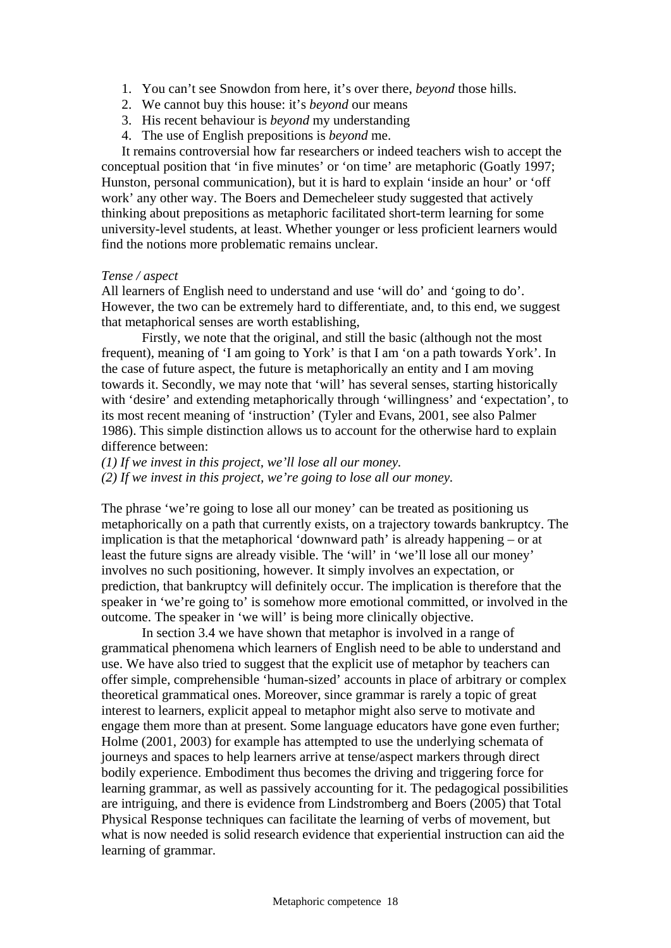- 1. You can't see Snowdon from here, it's over there, *beyond* those hills.
- 2. We cannot buy this house: it's *beyond* our means
- 3. His recent behaviour is *beyond* my understanding
- 4. The use of English prepositions is *beyond* me.

It remains controversial how far researchers or indeed teachers wish to accept the conceptual position that 'in five minutes' or 'on time' are metaphoric (Goatly 1997; Hunston, personal communication), but it is hard to explain 'inside an hour' or 'off work' any other way. The Boers and Demecheleer study suggested that actively thinking about prepositions as metaphoric facilitated short-term learning for some university-level students, at least. Whether younger or less proficient learners would find the notions more problematic remains unclear.

#### *Tense / aspect*

All learners of English need to understand and use 'will do' and 'going to do'. However, the two can be extremely hard to differentiate, and, to this end, we suggest that metaphorical senses are worth establishing,

 Firstly, we note that the original, and still the basic (although not the most frequent), meaning of 'I am going to York' is that I am 'on a path towards York'. In the case of future aspect, the future is metaphorically an entity and I am moving towards it. Secondly, we may note that 'will' has several senses, starting historically with 'desire' and extending metaphorically through 'willingness' and 'expectation', to its most recent meaning of 'instruction' (Tyler and Evans, 2001, see also Palmer 1986). This simple distinction allows us to account for the otherwise hard to explain difference between:

*(1) If we invest in this project, we'll lose all our money.* 

*(2) If we invest in this project, we're going to lose all our money.* 

The phrase 'we're going to lose all our money' can be treated as positioning us metaphorically on a path that currently exists, on a trajectory towards bankruptcy. The implication is that the metaphorical 'downward path' is already happening – or at least the future signs are already visible. The 'will' in 'we'll lose all our money' involves no such positioning, however. It simply involves an expectation, or prediction, that bankruptcy will definitely occur. The implication is therefore that the speaker in 'we're going to' is somehow more emotional committed, or involved in the outcome. The speaker in 'we will' is being more clinically objective.

 In section 3.4 we have shown that metaphor is involved in a range of grammatical phenomena which learners of English need to be able to understand and use. We have also tried to suggest that the explicit use of metaphor by teachers can offer simple, comprehensible 'human-sized' accounts in place of arbitrary or complex theoretical grammatical ones. Moreover, since grammar is rarely a topic of great interest to learners, explicit appeal to metaphor might also serve to motivate and engage them more than at present. Some language educators have gone even further; Holme (2001, 2003) for example has attempted to use the underlying schemata of journeys and spaces to help learners arrive at tense/aspect markers through direct bodily experience. Embodiment thus becomes the driving and triggering force for learning grammar, as well as passively accounting for it. The pedagogical possibilities are intriguing, and there is evidence from Lindstromberg and Boers (2005) that Total Physical Response techniques can facilitate the learning of verbs of movement, but what is now needed is solid research evidence that experiential instruction can aid the learning of grammar.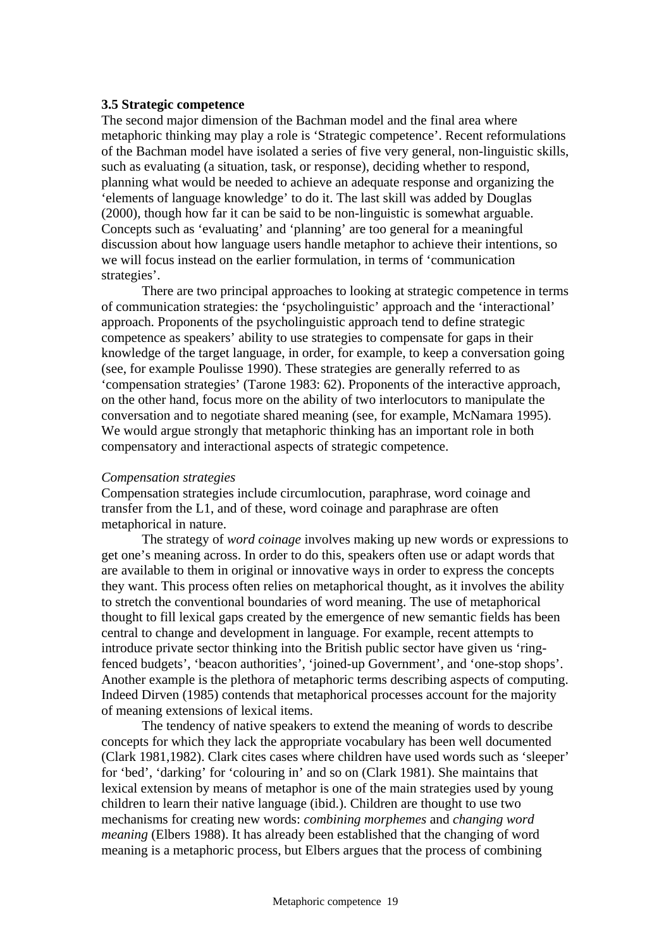#### **3.5 Strategic competence**

The second major dimension of the Bachman model and the final area where metaphoric thinking may play a role is 'Strategic competence'. Recent reformulations of the Bachman model have isolated a series of five very general, non-linguistic skills, such as evaluating (a situation, task, or response), deciding whether to respond, planning what would be needed to achieve an adequate response and organizing the 'elements of language knowledge' to do it. The last skill was added by Douglas (2000), though how far it can be said to be non-linguistic is somewhat arguable. Concepts such as 'evaluating' and 'planning' are too general for a meaningful discussion about how language users handle metaphor to achieve their intentions, so we will focus instead on the earlier formulation, in terms of 'communication strategies'.

 There are two principal approaches to looking at strategic competence in terms of communication strategies: the 'psycholinguistic' approach and the 'interactional' approach. Proponents of the psycholinguistic approach tend to define strategic competence as speakers' ability to use strategies to compensate for gaps in their knowledge of the target language, in order, for example, to keep a conversation going (see, for example Poulisse 1990). These strategies are generally referred to as 'compensation strategies' (Tarone 1983: 62). Proponents of the interactive approach, on the other hand, focus more on the ability of two interlocutors to manipulate the conversation and to negotiate shared meaning (see, for example, McNamara 1995). We would argue strongly that metaphoric thinking has an important role in both compensatory and interactional aspects of strategic competence.

#### *Compensation strategies*

Compensation strategies include circumlocution, paraphrase, word coinage and transfer from the L1, and of these, word coinage and paraphrase are often metaphorical in nature.

 The strategy of *word coinage* involves making up new words or expressions to get one's meaning across. In order to do this, speakers often use or adapt words that are available to them in original or innovative ways in order to express the concepts they want. This process often relies on metaphorical thought, as it involves the ability to stretch the conventional boundaries of word meaning. The use of metaphorical thought to fill lexical gaps created by the emergence of new semantic fields has been central to change and development in language. For example, recent attempts to introduce private sector thinking into the British public sector have given us 'ringfenced budgets', 'beacon authorities', 'joined-up Government', and 'one-stop shops'. Another example is the plethora of metaphoric terms describing aspects of computing. Indeed Dirven (1985) contends that metaphorical processes account for the majority of meaning extensions of lexical items.

 The tendency of native speakers to extend the meaning of words to describe concepts for which they lack the appropriate vocabulary has been well documented (Clark 1981,1982). Clark cites cases where children have used words such as 'sleeper' for 'bed', 'darking' for 'colouring in' and so on (Clark 1981). She maintains that lexical extension by means of metaphor is one of the main strategies used by young children to learn their native language (ibid.). Children are thought to use two mechanisms for creating new words: *combining morphemes* and *changing word meaning* (Elbers 1988). It has already been established that the changing of word meaning is a metaphoric process, but Elbers argues that the process of combining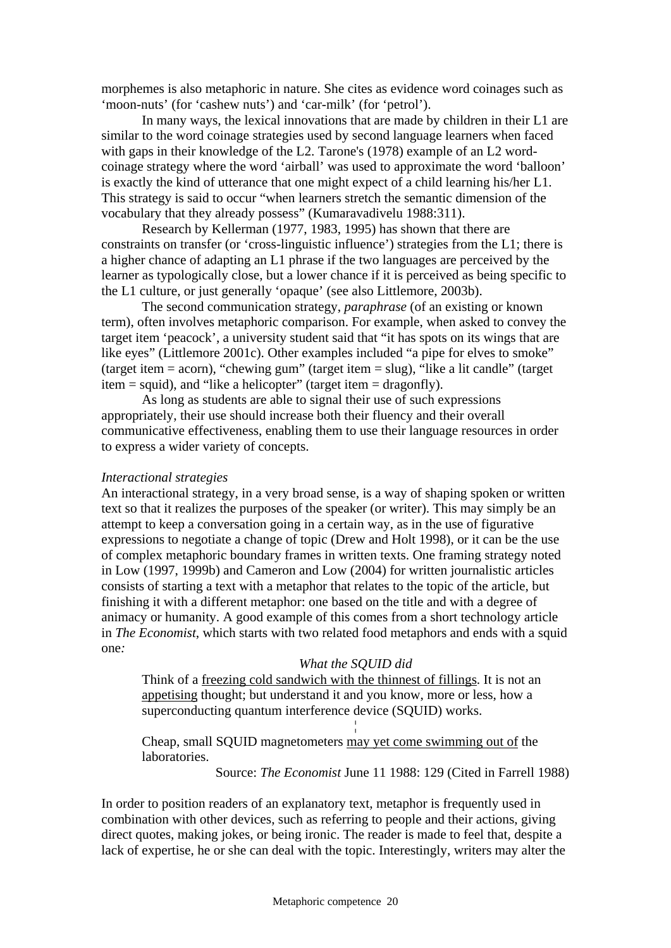morphemes is also metaphoric in nature. She cites as evidence word coinages such as 'moon-nuts' (for 'cashew nuts') and 'car-milk' (for 'petrol').

 In many ways, the lexical innovations that are made by children in their L1 are similar to the word coinage strategies used by second language learners when faced with gaps in their knowledge of the L2. Tarone's (1978) example of an L2 wordcoinage strategy where the word 'airball' was used to approximate the word 'balloon' is exactly the kind of utterance that one might expect of a child learning his/her L1. This strategy is said to occur "when learners stretch the semantic dimension of the vocabulary that they already possess" (Kumaravadivelu 1988:311).

 Research by Kellerman (1977, 1983, 1995) has shown that there are constraints on transfer (or 'cross-linguistic influence') strategies from the L1; there is a higher chance of adapting an L1 phrase if the two languages are perceived by the learner as typologically close, but a lower chance if it is perceived as being specific to the L1 culture, or just generally 'opaque' (see also Littlemore, 2003b).

 The second communication strategy, *paraphrase* (of an existing or known term), often involves metaphoric comparison. For example, when asked to convey the target item 'peacock', a university student said that "it has spots on its wings that are like eyes" (Littlemore 2001c). Other examples included "a pipe for elves to smoke" (target item = acorn), "chewing gum" (target item = slug), "like a lit candle" (target item  $=$  squid), and "like a helicopter" (target item  $=$  dragonfly).

 As long as students are able to signal their use of such expressions appropriately, their use should increase both their fluency and their overall communicative effectiveness, enabling them to use their language resources in order to express a wider variety of concepts.

#### *Interactional strategies*

An interactional strategy, in a very broad sense, is a way of shaping spoken or written text so that it realizes the purposes of the speaker (or writer). This may simply be an attempt to keep a conversation going in a certain way, as in the use of figurative expressions to negotiate a change of topic (Drew and Holt 1998), or it can be the use of complex metaphoric boundary frames in written texts. One framing strategy noted in Low (1997, 1999b) and Cameron and Low (2004) for written journalistic articles consists of starting a text with a metaphor that relates to the topic of the article, but finishing it with a different metaphor: one based on the title and with a degree of animacy or humanity. A good example of this comes from a short technology article in *The Economist*, which starts with two related food metaphors and ends with a squid one*:*

#### *What the SQUID did*

¦

Think of a freezing cold sandwich with the thinnest of fillings. It is not an appetising thought; but understand it and you know, more or less, how a superconducting quantum interference device (SQUID) works.

Cheap, small SQUID magnetometers may yet come swimming out of the laboratories.

Source: *The Economist* June 11 1988: 129 (Cited in Farrell 1988)

In order to position readers of an explanatory text, metaphor is frequently used in combination with other devices, such as referring to people and their actions, giving direct quotes, making jokes, or being ironic. The reader is made to feel that, despite a lack of expertise, he or she can deal with the topic. Interestingly, writers may alter the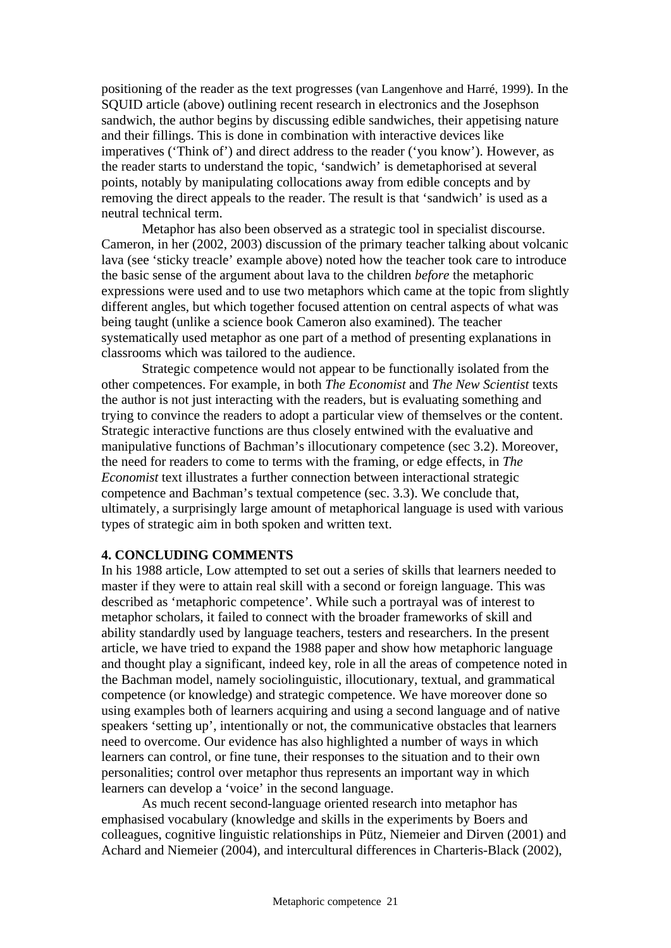positioning of the reader as the text progresses (van Langenhove and Harré, 1999). In the SQUID article (above) outlining recent research in electronics and the Josephson sandwich, the author begins by discussing edible sandwiches, their appetising nature and their fillings. This is done in combination with interactive devices like imperatives ('Think of') and direct address to the reader ('you know'). However, as the reader starts to understand the topic, 'sandwich' is demetaphorised at several points, notably by manipulating collocations away from edible concepts and by removing the direct appeals to the reader. The result is that 'sandwich' is used as a neutral technical term.

Metaphor has also been observed as a strategic tool in specialist discourse. Cameron, in her (2002, 2003) discussion of the primary teacher talking about volcanic lava (see 'sticky treacle' example above) noted how the teacher took care to introduce the basic sense of the argument about lava to the children *before* the metaphoric expressions were used and to use two metaphors which came at the topic from slightly different angles, but which together focused attention on central aspects of what was being taught (unlike a science book Cameron also examined). The teacher systematically used metaphor as one part of a method of presenting explanations in classrooms which was tailored to the audience.

 Strategic competence would not appear to be functionally isolated from the other competences. For example, in both *The Economist* and *The New Scientist* texts the author is not just interacting with the readers, but is evaluating something and trying to convince the readers to adopt a particular view of themselves or the content. Strategic interactive functions are thus closely entwined with the evaluative and manipulative functions of Bachman's illocutionary competence (sec 3.2). Moreover, the need for readers to come to terms with the framing, or edge effects, in *The Economist* text illustrates a further connection between interactional strategic competence and Bachman's textual competence (sec. 3.3). We conclude that, ultimately, a surprisingly large amount of metaphorical language is used with various types of strategic aim in both spoken and written text.

#### **4. CONCLUDING COMMENTS**

In his 1988 article, Low attempted to set out a series of skills that learners needed to master if they were to attain real skill with a second or foreign language. This was described as 'metaphoric competence'. While such a portrayal was of interest to metaphor scholars, it failed to connect with the broader frameworks of skill and ability standardly used by language teachers, testers and researchers. In the present article, we have tried to expand the 1988 paper and show how metaphoric language and thought play a significant, indeed key, role in all the areas of competence noted in the Bachman model, namely sociolinguistic, illocutionary, textual, and grammatical competence (or knowledge) and strategic competence. We have moreover done so using examples both of learners acquiring and using a second language and of native speakers 'setting up', intentionally or not, the communicative obstacles that learners need to overcome. Our evidence has also highlighted a number of ways in which learners can control, or fine tune, their responses to the situation and to their own personalities; control over metaphor thus represents an important way in which learners can develop a 'voice' in the second language.

 As much recent second-language oriented research into metaphor has emphasised vocabulary (knowledge and skills in the experiments by Boers and colleagues, cognitive linguistic relationships in Pütz, Niemeier and Dirven (2001) and Achard and Niemeier (2004), and intercultural differences in Charteris-Black (2002),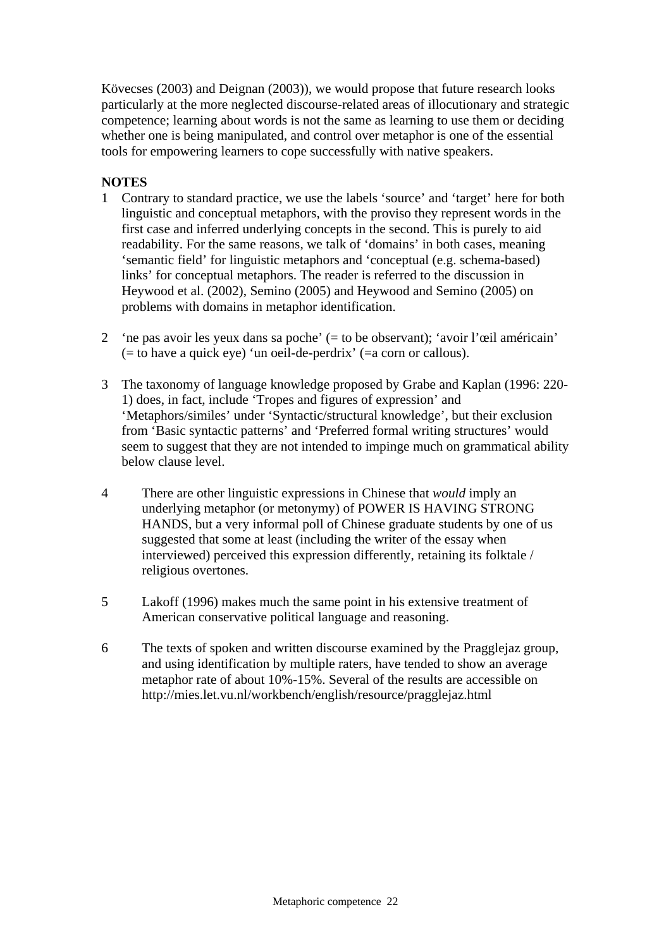Kövecses (2003) and Deignan (2003)), we would propose that future research looks particularly at the more neglected discourse-related areas of illocutionary and strategic competence; learning about words is not the same as learning to use them or deciding whether one is being manipulated, and control over metaphor is one of the essential tools for empowering learners to cope successfully with native speakers.

## **NOTES**

- 1 Contrary to standard practice, we use the labels 'source' and 'target' here for both linguistic and conceptual metaphors, with the proviso they represent words in the first case and inferred underlying concepts in the second. This is purely to aid readability. For the same reasons, we talk of 'domains' in both cases, meaning 'semantic field' for linguistic metaphors and 'conceptual (e.g. schema-based) links' for conceptual metaphors. The reader is referred to the discussion in Heywood et al. (2002), Semino (2005) and Heywood and Semino (2005) on problems with domains in metaphor identification.
- 2 'ne pas avoir les yeux dans sa poche' (= to be observant); 'avoir l'œil américain' (= to have a quick eye) 'un oeil-de-perdrix' (=a corn or callous).
- 3 The taxonomy of language knowledge proposed by Grabe and Kaplan (1996: 220- 1) does, in fact, include 'Tropes and figures of expression' and 'Metaphors/similes' under 'Syntactic/structural knowledge', but their exclusion from 'Basic syntactic patterns' and 'Preferred formal writing structures' would seem to suggest that they are not intended to impinge much on grammatical ability below clause level.
- 4 There are other linguistic expressions in Chinese that *would* imply an underlying metaphor (or metonymy) of POWER IS HAVING STRONG HANDS, but a very informal poll of Chinese graduate students by one of us suggested that some at least (including the writer of the essay when interviewed) perceived this expression differently, retaining its folktale / religious overtones.
- 5 Lakoff (1996) makes much the same point in his extensive treatment of American conservative political language and reasoning.
- 6 The texts of spoken and written discourse examined by the Pragglejaz group, and using identification by multiple raters, have tended to show an average metaphor rate of about 10%-15%. Several of the results are accessible on http://mies.let.vu.nl/workbench/english/resource/pragglejaz.html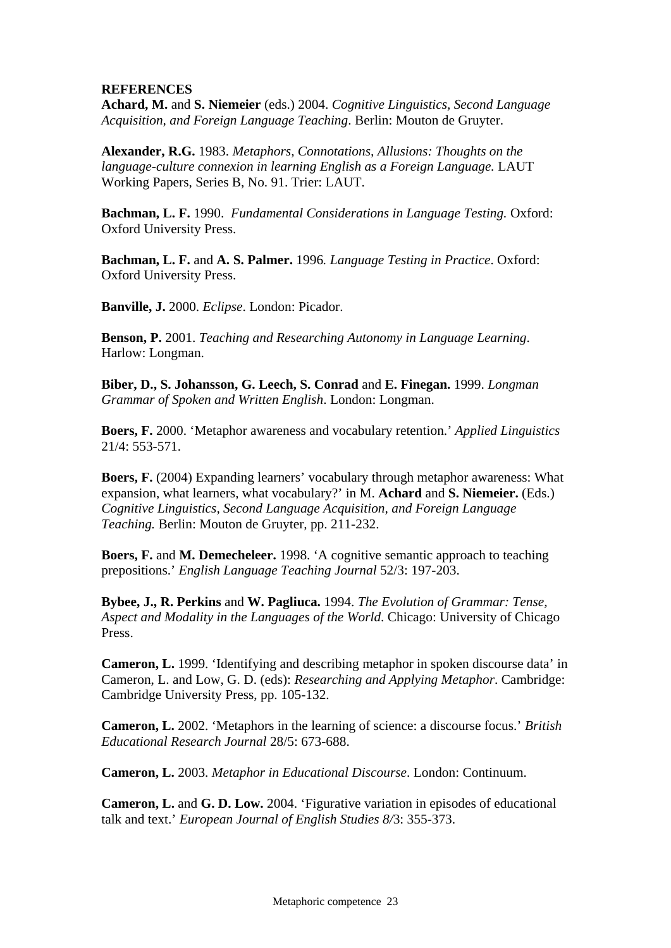#### **REFERENCES**

**Achard, M.** and **S. Niemeier** (eds.) 2004. *Cognitive Linguistics, Second Language Acquisition, and Foreign Language Teaching*. Berlin: Mouton de Gruyter.

**Alexander, R.G.** 1983. *Metaphors, Connotations, Allusions: Thoughts on the language-culture connexion in learning English as a Foreign Language.* LAUT Working Papers, Series B, No. 91. Trier: LAUT.

**Bachman, L. F.** 1990. *Fundamental Considerations in Language Testing.* Oxford: Oxford University Press.

**Bachman, L. F.** and **A. S. Palmer.** 1996*. Language Testing in Practice*. Oxford: Oxford University Press.

**Banville, J.** 2000. *Eclipse*. London: Picador.

**Benson, P.** 2001. *Teaching and Researching Autonomy in Language Learning*. Harlow: Longman.

**Biber, D., S. Johansson, G. Leech, S. Conrad** and **E. Finegan.** 1999. *Longman Grammar of Spoken and Written English*. London: Longman.

**Boers, F.** 2000. 'Metaphor awareness and vocabulary retention.' *Applied Linguistics* 21/4: 553-571.

**Boers, F.** (2004) Expanding learners' vocabulary through metaphor awareness: What expansion, what learners, what vocabulary?' in M. **Achard** and **S. Niemeier.** (Eds.) *Cognitive Linguistics, Second Language Acquisition, and Foreign Language Teaching.* Berlin: Mouton de Gruyter*,* pp. 211-232.

**Boers, F.** and **M. Demecheleer.** 1998. 'A cognitive semantic approach to teaching prepositions.' *English Language Teaching Journal* 52/3: 197-203.

**Bybee, J., R. Perkins** and **W. Pagliuca.** 1994. *The Evolution of Grammar: Tense, Aspect and Modality in the Languages of the World*. Chicago: University of Chicago Press.

**Cameron, L.** 1999. 'Identifying and describing metaphor in spoken discourse data' in Cameron, L. and Low, G. D. (eds): *Researching and Applying Metaphor*. Cambridge: Cambridge University Press, pp. 105-132.

**Cameron, L.** 2002. 'Metaphors in the learning of science: a discourse focus.' *British Educational Research Journal* 28/5: 673-688.

**Cameron, L.** 2003. *Metaphor in Educational Discourse*. London: Continuum.

**Cameron, L.** and **G. D. Low.** 2004. 'Figurative variation in episodes of educational talk and text.' *European Journal of English Studies 8/*3: 355-373.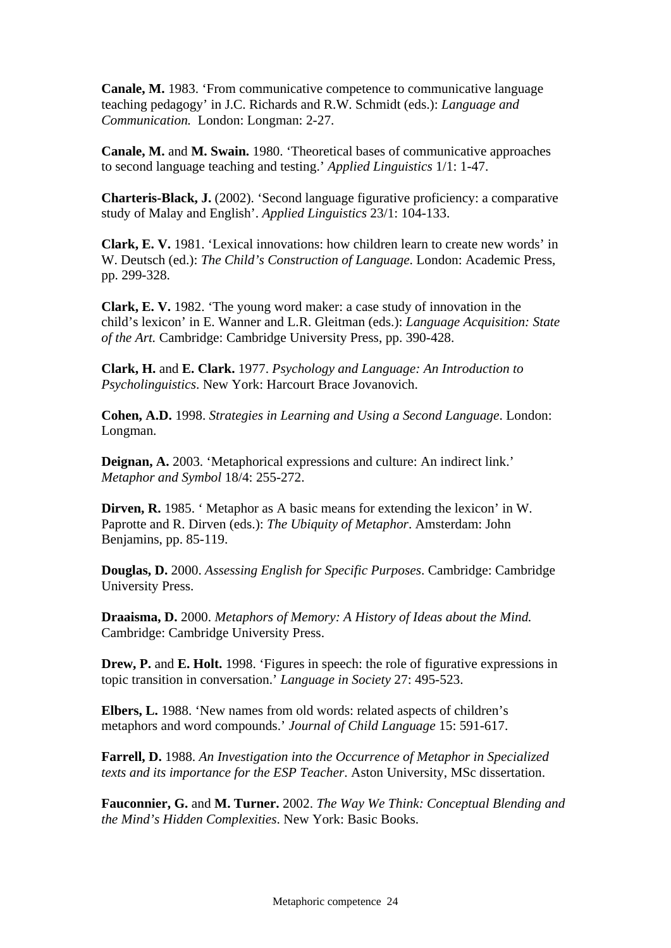**Canale, M.** 1983. 'From communicative competence to communicative language teaching pedagogy' in J.C. Richards and R.W. Schmidt (eds.): *Language and Communication.* London: Longman: 2-27.

**Canale, M.** and **M. Swain.** 1980. 'Theoretical bases of communicative approaches to second language teaching and testing.' *Applied Linguistics* 1/1: 1-47.

**Charteris-Black, J.** (2002). 'Second language figurative proficiency: a comparative study of Malay and English'. *Applied Linguistics* 23/1: 104-133.

**Clark, E. V.** 1981. 'Lexical innovations: how children learn to create new words' in W. Deutsch (ed.): *The Child's Construction of Language*. London: Academic Press, pp. 299-328.

**Clark, E. V.** 1982. 'The young word maker: a case study of innovation in the child's lexicon' in E. Wanner and L.R. Gleitman (eds.): *Language Acquisition: State of the Art.* Cambridge: Cambridge University Press, pp. 390-428.

**Clark, H.** and **E. Clark.** 1977. *Psychology and Language: An Introduction to Psycholinguistics*. New York: Harcourt Brace Jovanovich.

**Cohen, A.D.** 1998. *Strategies in Learning and Using a Second Language*. London: Longman.

**Deignan, A.** 2003. 'Metaphorical expressions and culture: An indirect link.' *Metaphor and Symbol* 18/4: 255-272.

**Dirven, R.** 1985. ' Metaphor as A basic means for extending the lexicon' in W. Paprotte and R. Dirven (eds.): *The Ubiquity of Metaphor*. Amsterdam: John Benjamins, pp. 85-119.

**Douglas, D.** 2000. *Assessing English for Specific Purposes*. Cambridge: Cambridge University Press.

**Draaisma, D.** 2000. *Metaphors of Memory: A History of Ideas about the Mind.* Cambridge: Cambridge University Press.

**Drew, P.** and **E. Holt.** 1998. 'Figures in speech: the role of figurative expressions in topic transition in conversation.' *Language in Society* 27: 495-523.

**Elbers, L.** 1988. 'New names from old words: related aspects of children's metaphors and word compounds.' *Journal of Child Language* 15: 591-617.

**Farrell, D.** 1988. *An Investigation into the Occurrence of Metaphor in Specialized texts and its importance for the ESP Teacher*. Aston University, MSc dissertation.

**Fauconnier, G.** and **M. Turner.** 2002. *The Way We Think: Conceptual Blending and the Mind's Hidden Complexities*. New York: Basic Books.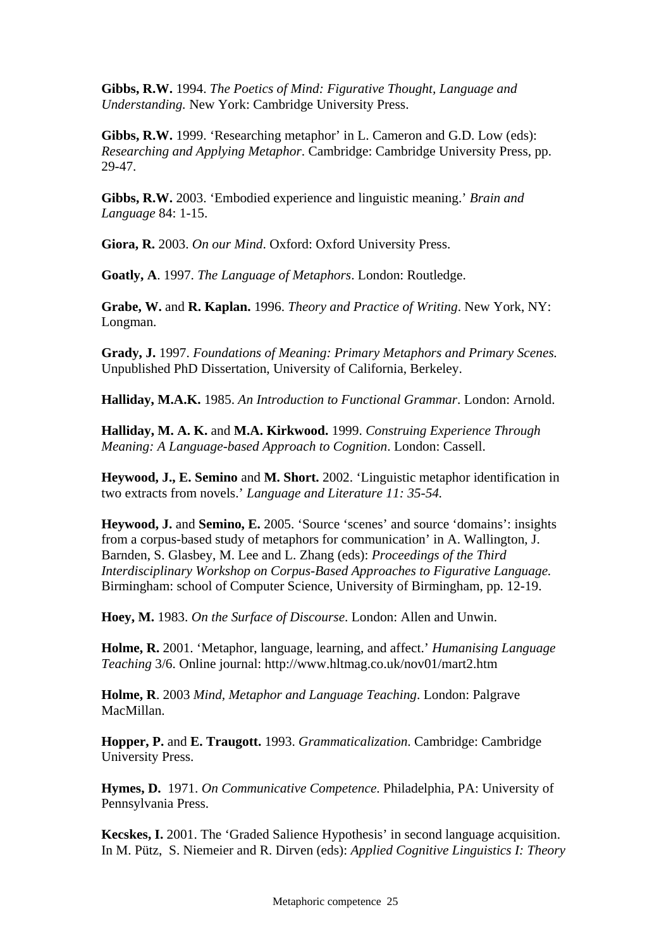**Gibbs, R.W.** 1994. *The Poetics of Mind: Figurative Thought, Language and Understanding.* New York: Cambridge University Press.

**Gibbs, R.W.** 1999. 'Researching metaphor' in L. Cameron and G.D. Low (eds): *Researching and Applying Metaphor*. Cambridge: Cambridge University Press, pp. 29-47.

**Gibbs, R.W.** 2003. 'Embodied experience and linguistic meaning.' *Brain and Language* 84: 1-15.

**Giora, R.** 2003. *On our Mind*. Oxford: Oxford University Press.

**Goatly, A**. 1997. *The Language of Metaphors*. London: Routledge.

**Grabe, W.** and **R. Kaplan.** 1996. *Theory and Practice of Writing*. New York, NY: Longman.

**Grady, J.** 1997. *Foundations of Meaning: Primary Metaphors and Primary Scenes.* Unpublished PhD Dissertation, University of California, Berkeley.

**Halliday, M.A.K.** 1985. *An Introduction to Functional Grammar*. London: Arnold.

**Halliday, M. A. K.** and **M.A. Kirkwood.** 1999. *Construing Experience Through Meaning: A Language-based Approach to Cognition*. London: Cassell.

**Heywood, J., E. Semino** and **M. Short.** 2002. 'Linguistic metaphor identification in two extracts from novels.' *Language and Literature 11: 35-54.* 

**Heywood, J.** and **Semino, E.** 2005. 'Source 'scenes' and source 'domains': insights from a corpus-based study of metaphors for communication' in A. Wallington, J. Barnden, S. Glasbey, M. Lee and L. Zhang (eds): *Proceedings of the Third Interdisciplinary Workshop on Corpus-Based Approaches to Figurative Language.* Birmingham: school of Computer Science, University of Birmingham, pp. 12-19.

**Hoey, M.** 1983. *On the Surface of Discourse*. London: Allen and Unwin.

**Holme, R.** 2001. 'Metaphor, language, learning, and affect.' *Humanising Language Teaching* 3/6. Online journal: http://www.hltmag.co.uk/nov01/mart2.htm

**Holme, R**. 2003 *Mind, Metaphor and Language Teaching*. London: Palgrave MacMillan.

**Hopper, P.** and **E. Traugott.** 1993. *Grammaticalization*. Cambridge: Cambridge University Press.

**Hymes, D.** 1971. *On Communicative Competence*. Philadelphia, PA: University of Pennsylvania Press.

**Kecskes, I.** 2001. The 'Graded Salience Hypothesis' in second language acquisition. In M. Pütz, S. Niemeier and R. Dirven (eds): *Applied Cognitive Linguistics I: Theory*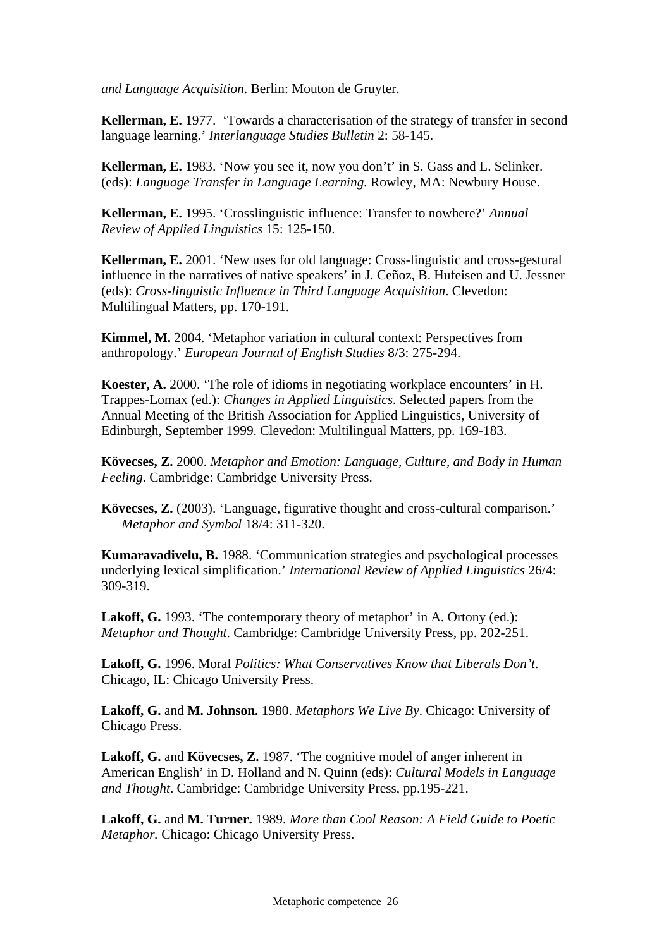*and Language Acquisition*. Berlin: Mouton de Gruyter.

**Kellerman, E.** 1977. 'Towards a characterisation of the strategy of transfer in second language learning.' *Interlanguage Studies Bulletin* 2: 58-145.

**Kellerman, E.** 1983. 'Now you see it, now you don't' in S. Gass and L. Selinker. (eds): *Language Transfer in Language Learning.* Rowley, MA: Newbury House.

**Kellerman, E.** 1995. 'Crosslinguistic influence: Transfer to nowhere?' *Annual Review of Applied Linguistics* 15: 125-150.

**Kellerman, E.** 2001. 'New uses for old language: Cross-linguistic and cross-gestural influence in the narratives of native speakers' in J. Ceñoz, B. Hufeisen and U. Jessner (eds): *Cross-linguistic Influence in Third Language Acquisition*. Clevedon: Multilingual Matters, pp. 170-191.

**Kimmel, M.** 2004. 'Metaphor variation in cultural context: Perspectives from anthropology.' *European Journal of English Studies* 8/3: 275-294.

**Koester, A.** 2000. 'The role of idioms in negotiating workplace encounters' in H. Trappes-Lomax (ed.): *Changes in Applied Linguistics*. Selected papers from the Annual Meeting of the British Association for Applied Linguistics, University of Edinburgh, September 1999. Clevedon: Multilingual Matters, pp. 169-183.

**Kövecses, Z.** 2000. *Metaphor and Emotion: Language, Culture, and Body in Human Feeling*. Cambridge: Cambridge University Press.

**Kövecses, Z.** (2003). 'Language, figurative thought and cross-cultural comparison.' *Metaphor and Symbol* 18/4: 311-320.

**Kumaravadivelu, B.** 1988. 'Communication strategies and psychological processes underlying lexical simplification.' *International Review of Applied Linguistics* 26/4: 309-319.

**Lakoff, G.** 1993. 'The contemporary theory of metaphor' in A. Ortony (ed.): *Metaphor and Thought*. Cambridge: Cambridge University Press, pp. 202-251.

**Lakoff, G.** 1996. Moral *Politics: What Conservatives Know that Liberals Don't*. Chicago, IL: Chicago University Press.

**Lakoff, G.** and **M. Johnson.** 1980. *Metaphors We Live By*. Chicago: University of Chicago Press.

**Lakoff, G.** and **Kövecses, Z.** 1987. 'The cognitive model of anger inherent in American English' in D. Holland and N. Quinn (eds): *Cultural Models in Language and Thought*. Cambridge: Cambridge University Press, pp.195-221.

**Lakoff, G.** and **M. Turner.** 1989. *More than Cool Reason: A Field Guide to Poetic Metaphor.* Chicago: Chicago University Press.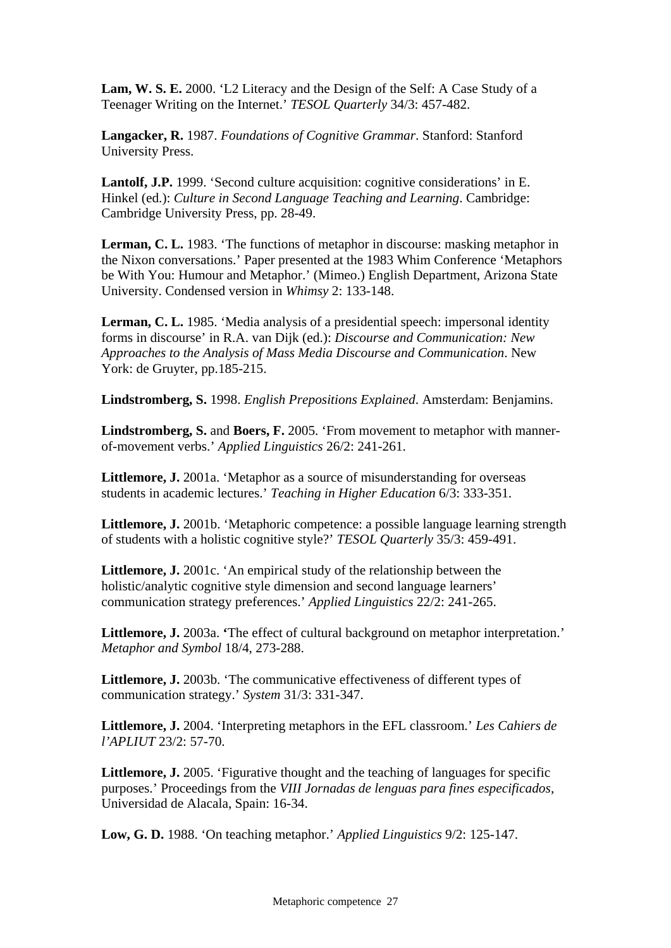**Lam, W. S. E.** 2000. 'L2 Literacy and the Design of the Self: A Case Study of a Teenager Writing on the Internet.' *TESOL Quarterly* 34/3: 457-482.

**Langacker, R.** 1987. *Foundations of Cognitive Grammar*. Stanford: Stanford University Press.

**Lantolf, J.P.** 1999. 'Second culture acquisition: cognitive considerations' in E. Hinkel (ed.): *Culture in Second Language Teaching and Learning*. Cambridge: Cambridge University Press, pp. 28-49.

**Lerman, C. L.** 1983. 'The functions of metaphor in discourse: masking metaphor in the Nixon conversations.' Paper presented at the 1983 Whim Conference 'Metaphors be With You: Humour and Metaphor.' (Mimeo.) English Department, Arizona State University. Condensed version in *Whimsy* 2: 133-148.

**Lerman, C. L.** 1985. 'Media analysis of a presidential speech: impersonal identity forms in discourse' in R.A. van Dijk (ed.): *Discourse and Communication: New Approaches to the Analysis of Mass Media Discourse and Communication*. New York: de Gruyter, pp.185-215.

**Lindstromberg, S.** 1998. *English Prepositions Explained*. Amsterdam: Benjamins.

**Lindstromberg, S.** and **Boers, F.** 2005. 'From movement to metaphor with mannerof-movement verbs.' *Applied Linguistics* 26/2: 241-261.

Littlemore, J. 2001a. 'Metaphor as a source of misunderstanding for overseas students in academic lectures.' *Teaching in Higher Education* 6/3: 333-351.

**Littlemore, J.** 2001b. 'Metaphoric competence: a possible language learning strength of students with a holistic cognitive style?' *TESOL Quarterly* 35/3: 459-491.

**Littlemore, J.** 2001c. 'An empirical study of the relationship between the holistic/analytic cognitive style dimension and second language learners' communication strategy preferences.' *Applied Linguistics* 22/2: 241-265.

**Littlemore, J.** 2003a. **'**The effect of cultural background on metaphor interpretation.' *Metaphor and Symbol* 18/4, 273-288.

**Littlemore, J.** 2003b. 'The communicative effectiveness of different types of communication strategy.' *System* 31/3: 331-347.

**Littlemore, J.** 2004. 'Interpreting metaphors in the EFL classroom.' *Les Cahiers de l'APLIUT* 23/2: 57-70.

Littlemore, **J.** 2005. 'Figurative thought and the teaching of languages for specific purposes.' Proceedings from the *VIII Jornadas de lenguas para fines especificados*, Universidad de Alacala, Spain: 16-34.

**Low, G. D.** 1988. 'On teaching metaphor.' *Applied Linguistics* 9/2: 125-147.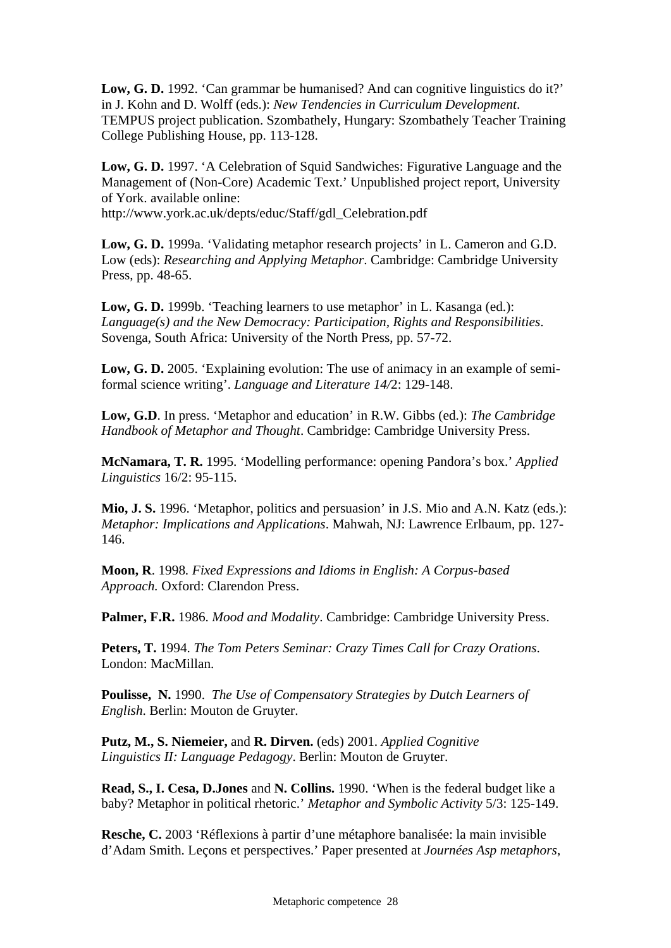**Low, G. D.** 1992. 'Can grammar be humanised? And can cognitive linguistics do it?' in J. Kohn and D. Wolff (eds.): *New Tendencies in Curriculum Development*. TEMPUS project publication. Szombathely, Hungary: Szombathely Teacher Training College Publishing House, pp. 113-128.

**Low, G. D.** 1997. 'A Celebration of Squid Sandwiches: Figurative Language and the Management of (Non-Core) Academic Text.' Unpublished project report, University of York. available online:

http://www.york.ac.uk/depts/educ/Staff/gdl\_Celebration.pdf

**Low, G. D.** 1999a. 'Validating metaphor research projects' in L. Cameron and G.D. Low (eds): *Researching and Applying Metaphor*. Cambridge: Cambridge University Press, pp. 48-65.

**Low, G. D.** 1999b. 'Teaching learners to use metaphor' in L. Kasanga (ed.): *Language(s) and the New Democracy: Participation, Rights and Responsibilities*. Sovenga, South Africa: University of the North Press, pp. 57-72.

**Low, G. D.** 2005. 'Explaining evolution: The use of animacy in an example of semiformal science writing'. *Language and Literature 14/*2: 129-148.

**Low, G.D**. In press. 'Metaphor and education' in R.W. Gibbs (ed.): *The Cambridge Handbook of Metaphor and Thought*. Cambridge: Cambridge University Press.

**McNamara, T. R.** 1995. 'Modelling performance: opening Pandora's box.' *Applied Linguistics* 16/2: 95-115.

**Mio, J. S.** 1996. 'Metaphor, politics and persuasion' in J.S. Mio and A.N. Katz (eds.): *Metaphor: Implications and Applications*. Mahwah, NJ: Lawrence Erlbaum, pp. 127- 146.

**Moon, R**. 1998*. Fixed Expressions and Idioms in English: A Corpus-based Approach.* Oxford: Clarendon Press.

**Palmer, F.R.** 1986. *Mood and Modality*. Cambridge: Cambridge University Press.

**Peters, T.** 1994. *The Tom Peters Seminar: Crazy Times Call for Crazy Orations*. London: MacMillan.

**Poulisse, N.** 1990. *The Use of Compensatory Strategies by Dutch Learners of English*. Berlin: Mouton de Gruyter.

**Putz, M., S. Niemeier,** and **R. Dirven.** (eds) 2001. *Applied Cognitive Linguistics II: Language Pedagogy*. Berlin: Mouton de Gruyter.

**Read, S., I. Cesa, D.Jones** and **N. Collins.** 1990. 'When is the federal budget like a baby? Metaphor in political rhetoric.' *Metaphor and Symbolic Activity* 5/3: 125-149.

**Resche, C.** 2003 'Réflexions à partir d'une métaphore banalisée: la main invisible d'Adam Smith. Leçons et perspectives.' Paper presented at *Journées Asp metaphors*,